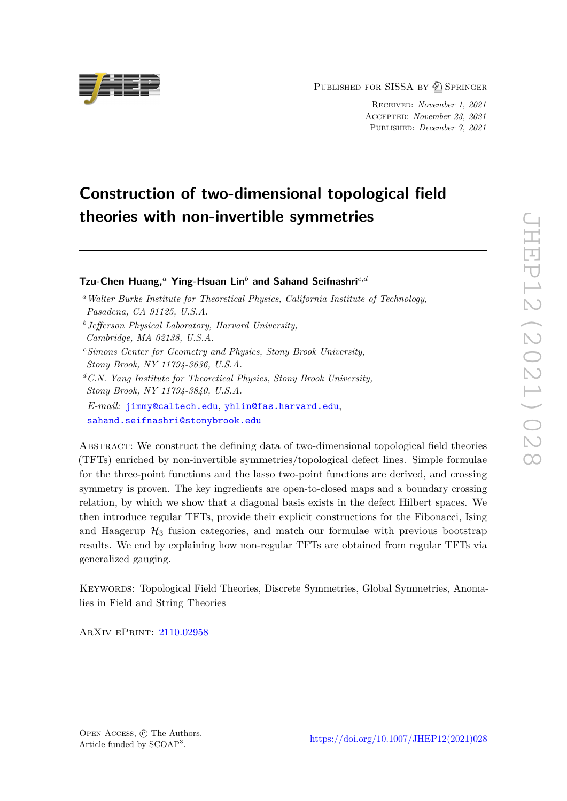PUBLISHED FOR SISSA BY 2 SPRINGER

Received: *November 1, 2021* Accepted: *November 23, 2021* Published: *December 7, 2021*

# **Construction of two-dimensional topological field theories with non-invertible symmetries**

**Tzu-Chen Huang,***<sup>a</sup>* **Ying-Hsuan Lin***<sup>b</sup>* **and Sahand Seifnashri***c,d*

- *<sup>a</sup>Walter Burke Institute for Theoretical Physics, California Institute of Technology, Pasadena, CA 91125, U.S.A.*
- *<sup>b</sup>Jefferson Physical Laboratory, Harvard University, Cambridge, MA 02138, U.S.A.*
- *<sup>c</sup>Simons Center for Geometry and Physics, Stony Brook University, Stony Brook, NY 11794-3636, U.S.A.*
- *<sup>d</sup>C.N. Yang Institute for Theoretical Physics, Stony Brook University, Stony Brook, NY 11794-3840, U.S.A.*
- *E-mail:* [jimmy@caltech.edu](mailto:jimmy@caltech.edu), [yhlin@fas.harvard.edu](mailto:yhlin@fas.harvard.edu), [sahand.seifnashri@stonybrook.edu](mailto:sahand.seifnashri@stonybrook.edu)

ABSTRACT: We construct the defining data of two-dimensional topological field theories (TFTs) enriched by non-invertible symmetries/topological defect lines. Simple formulae for the three-point functions and the lasso two-point functions are derived, and crossing symmetry is proven. The key ingredients are open-to-closed maps and a boundary crossing relation, by which we show that a diagonal basis exists in the defect Hilbert spaces. We then introduce regular TFTs, provide their explicit constructions for the Fibonacci, Ising and Haagerup  $\mathcal{H}_3$  fusion categories, and match our formulae with previous bootstrap results. We end by explaining how non-regular TFTs are obtained from regular TFTs via generalized gauging.

Keywords: Topological Field Theories, Discrete Symmetries, Global Symmetries, Anomalies in Field and String Theories

ArXiv ePrint: [2110.02958](https://arxiv.org/abs/2110.02958)

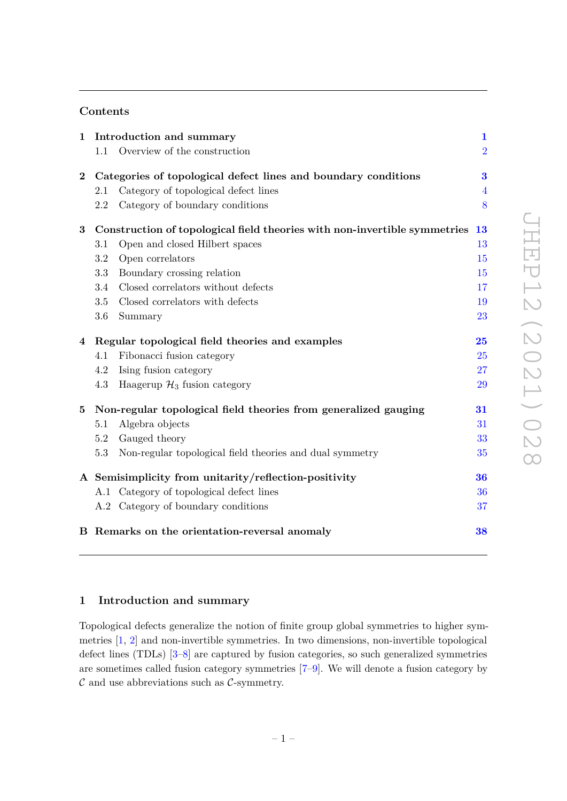# **Contents**

| $\mathbf 1$    | Introduction and summary                                                  |                                                          | $\mathbf{1}$   |
|----------------|---------------------------------------------------------------------------|----------------------------------------------------------|----------------|
|                | 1.1                                                                       | Overview of the construction                             | $\overline{2}$ |
| $\bf{2}$       | Categories of topological defect lines and boundary conditions            |                                                          | 3              |
|                | 2.1                                                                       | Category of topological defect lines                     | $\overline{4}$ |
|                | 2.2                                                                       | Category of boundary conditions                          | 8              |
| $\bf{3}$       | Construction of topological field theories with non-invertible symmetries |                                                          | <b>13</b>      |
|                | 3.1                                                                       | Open and closed Hilbert spaces                           | 13             |
|                | 3.2                                                                       | Open correlators                                         | 15             |
|                | 3.3                                                                       | Boundary crossing relation                               | 15             |
|                | 3.4                                                                       | Closed correlators without defects                       | 17             |
|                | 3.5                                                                       | Closed correlators with defects                          | 19             |
|                | 3.6                                                                       | Summary                                                  | 23             |
| $\overline{4}$ | Regular topological field theories and examples                           |                                                          | 25             |
|                | 4.1                                                                       | Fibonacci fusion category                                | 25             |
|                | 4.2                                                                       | Ising fusion category                                    | 27             |
|                | 4.3                                                                       | Haagerup $\mathcal{H}_3$ fusion category                 | 29             |
| $\mathbf{5}$   | Non-regular topological field theories from generalized gauging           |                                                          | 31             |
|                | 5.1                                                                       | Algebra objects                                          | 31             |
|                | 5.2                                                                       | Gauged theory                                            | 33             |
|                | 5.3                                                                       | Non-regular topological field theories and dual symmetry | 35             |
|                | A Semisimplicity from unitarity/reflection-positivity                     |                                                          | 36             |
|                |                                                                           | A.1 Category of topological defect lines                 | 36             |
|                |                                                                           | A.2 Category of boundary conditions                      | 37             |
|                |                                                                           | B Remarks on the orientation-reversal anomaly            | 38             |

## <span id="page-1-0"></span>**1 Introduction and summary**

Topological defects generalize the notion of finite group global symmetries to higher symmetries [\[1,](#page-39-0) [2\]](#page-39-1) and non-invertible symmetries. In two dimensions, non-invertible topological defect lines (TDLs) [\[3–](#page-39-2)[8\]](#page-39-3) are captured by fusion categories, so such generalized symmetries are sometimes called fusion category symmetries [\[7–](#page-39-4)[9\]](#page-39-5). We will denote a fusion category by  $\mathcal C$  and use abbreviations such as  $\mathcal C$ -symmetry.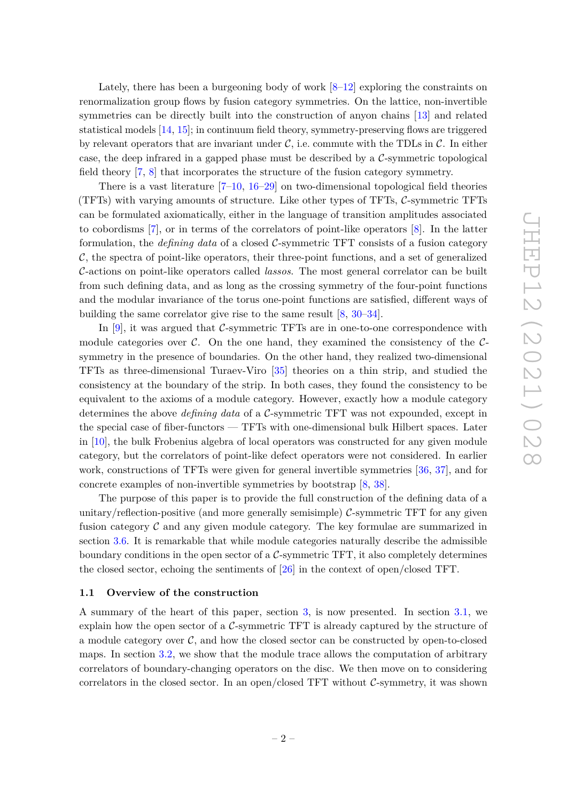Lately, there has been a burgeoning body of work [\[8–](#page-39-3)[12\]](#page-39-6) exploring the constraints on renormalization group flows by fusion category symmetries. On the lattice, non-invertible symmetries can be directly built into the construction of anyon chains [\[13\]](#page-39-7) and related statistical models [\[14,](#page-39-8) [15\]](#page-40-0); in continuum field theory, symmetry-preserving flows are triggered by relevant operators that are invariant under  $\mathcal{C}$ , i.e. commute with the TDLs in  $\mathcal{C}$ . In either case, the deep infrared in a gapped phase must be described by a  $\mathcal{C}$ -symmetric topological field theory [\[7,](#page-39-4) [8\]](#page-39-3) that incorporates the structure of the fusion category symmetry.

There is a vast literature  $[7-10, 16-29]$  $[7-10, 16-29]$  $[7-10, 16-29]$  $[7-10, 16-29]$  $[7-10, 16-29]$  on two-dimensional topological field theories (TFTs) with varying amounts of structure. Like other types of TFTs, C-symmetric TFTs can be formulated axiomatically, either in the language of transition amplitudes associated to cobordisms [\[7\]](#page-39-4), or in terms of the correlators of point-like operators [\[8\]](#page-39-3). In the latter formulation, the *defining data* of a closed C-symmetric TFT consists of a fusion category  $\mathcal{C}$ , the spectra of point-like operators, their three-point functions, and a set of generalized C-actions on point-like operators called *lassos*. The most general correlator can be built from such defining data, and as long as the crossing symmetry of the four-point functions and the modular invariance of the torus one-point functions are satisfied, different ways of building the same correlator give rise to the same result [\[8,](#page-39-3) [30–](#page-40-3)[34\]](#page-40-4).

In [\[9\]](#page-39-5), it was argued that  $\mathcal{C}$ -symmetric TFTs are in one-to-one correspondence with module categories over  $\mathcal{C}$ . On the one hand, they examined the consistency of the  $\mathcal{C}$ symmetry in the presence of boundaries. On the other hand, they realized two-dimensional TFTs as three-dimensional Turaev-Viro [\[35\]](#page-40-5) theories on a thin strip, and studied the consistency at the boundary of the strip. In both cases, they found the consistency to be equivalent to the axioms of a module category. However, exactly how a module category determines the above *defining data* of a C-symmetric TFT was not expounded, except in the special case of fiber-functors — TFTs with one-dimensional bulk Hilbert spaces. Later in [\[10\]](#page-39-9), the bulk Frobenius algebra of local operators was constructed for any given module category, but the correlators of point-like defect operators were not considered. In earlier work, constructions of TFTs were given for general invertible symmetries [\[36,](#page-41-0) [37\]](#page-41-1), and for concrete examples of non-invertible symmetries by bootstrap [\[8,](#page-39-3) [38\]](#page-41-2).

The purpose of this paper is to provide the full construction of the defining data of a unitary/reflection-positive (and more generally semisimple)  $\mathcal{C}$ -symmetric TFT for any given fusion category  $\mathcal C$  and any given module category. The key formulae are summarized in section [3.6.](#page-23-0) It is remarkable that while module categories naturally describe the admissible boundary conditions in the open sector of a  $\mathcal{C}$ -symmetric TFT, it also completely determines the closed sector, echoing the sentiments of [\[26\]](#page-40-6) in the context of open/closed TFT.

#### <span id="page-2-0"></span>**1.1 Overview of the construction**

A summary of the heart of this paper, section [3,](#page-13-0) is now presented. In section [3.1,](#page-13-1) we explain how the open sector of a  $C$ -symmetric TFT is already captured by the structure of a module category over  $C$ , and how the closed sector can be constructed by open-to-closed maps. In section [3.2,](#page-15-0) we show that the module trace allows the computation of arbitrary correlators of boundary-changing operators on the disc. We then move on to considering correlators in the closed sector. In an open/closed TFT without  $\mathcal{C}$ -symmetry, it was shown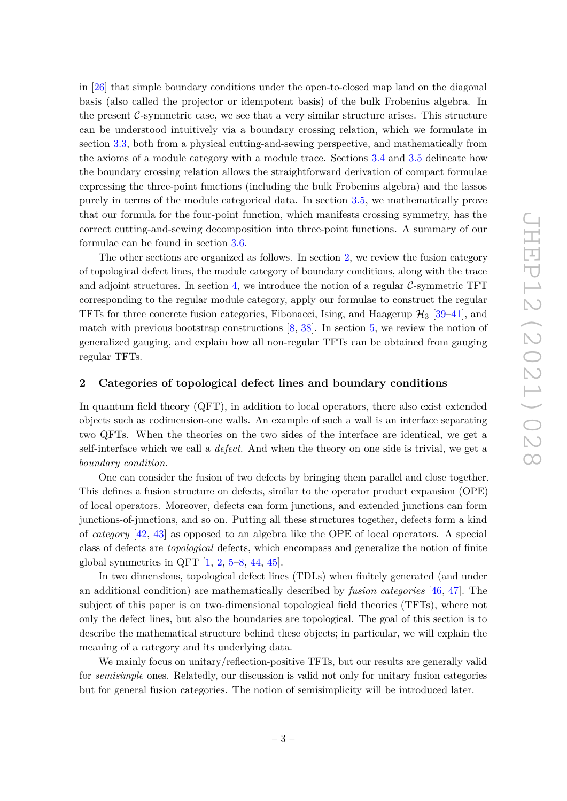in [\[26\]](#page-40-6) that simple boundary conditions under the open-to-closed map land on the diagonal basis (also called the projector or idempotent basis) of the bulk Frobenius algebra. In the present  $C$ -symmetric case, we see that a very similar structure arises. This structure can be understood intuitively via a boundary crossing relation, which we formulate in section [3.3,](#page-15-1) both from a physical cutting-and-sewing perspective, and mathematically from the axioms of a module category with a module trace. Sections [3.4](#page-17-0) and [3.5](#page-19-0) delineate how the boundary crossing relation allows the straightforward derivation of compact formulae expressing the three-point functions (including the bulk Frobenius algebra) and the lassos purely in terms of the module categorical data. In section [3.5,](#page-19-0) we mathematically prove that our formula for the four-point function, which manifests crossing symmetry, has the correct cutting-and-sewing decomposition into three-point functions. A summary of our formulae can be found in section [3.6.](#page-23-0)

The other sections are organized as follows. In section [2,](#page-3-0) we review the fusion category of topological defect lines, the module category of boundary conditions, along with the trace and adjoint structures. In section [4,](#page-25-0) we introduce the notion of a regular  $\mathcal{C}\text{-symmetric TFT}$ corresponding to the regular module category, apply our formulae to construct the regular TFTs for three concrete fusion categories, Fibonacci, Ising, and Haagerup  $\mathcal{H}_3$  [\[39](#page-41-3)[–41\]](#page-41-4), and match with previous bootstrap constructions [\[8,](#page-39-3) [38\]](#page-41-2). In section [5,](#page-31-0) we review the notion of generalized gauging, and explain how all non-regular TFTs can be obtained from gauging regular TFTs.

#### <span id="page-3-0"></span>**2 Categories of topological defect lines and boundary conditions**

In quantum field theory (QFT), in addition to local operators, there also exist extended objects such as codimension-one walls. An example of such a wall is an interface separating two QFTs. When the theories on the two sides of the interface are identical, we get a self-interface which we call a *defect*. And when the theory on one side is trivial, we get a *boundary condition*.

One can consider the fusion of two defects by bringing them parallel and close together. This defines a fusion structure on defects, similar to the operator product expansion (OPE) of local operators. Moreover, defects can form junctions, and extended junctions can form junctions-of-junctions, and so on. Putting all these structures together, defects form a kind of *category* [\[42,](#page-41-5) [43\]](#page-41-6) as opposed to an algebra like the OPE of local operators. A special class of defects are *topological* defects, which encompass and generalize the notion of finite global symmetries in QFT  $[1, 2, 5-8, 44, 45]$  $[1, 2, 5-8, 44, 45]$  $[1, 2, 5-8, 44, 45]$  $[1, 2, 5-8, 44, 45]$  $[1, 2, 5-8, 44, 45]$  $[1, 2, 5-8, 44, 45]$  $[1, 2, 5-8, 44, 45]$  $[1, 2, 5-8, 44, 45]$  $[1, 2, 5-8, 44, 45]$ .

In two dimensions, topological defect lines (TDLs) when finitely generated (and under an additional condition) are mathematically described by *fusion categories* [\[46,](#page-41-9) [47\]](#page-41-10). The subject of this paper is on two-dimensional topological field theories (TFTs), where not only the defect lines, but also the boundaries are topological. The goal of this section is to describe the mathematical structure behind these objects; in particular, we will explain the meaning of a category and its underlying data.

We mainly focus on unitary/reflection-positive TFTs, but our results are generally valid for *semisimple* ones. Relatedly, our discussion is valid not only for unitary fusion categories but for general fusion categories. The notion of semisimplicity will be introduced later.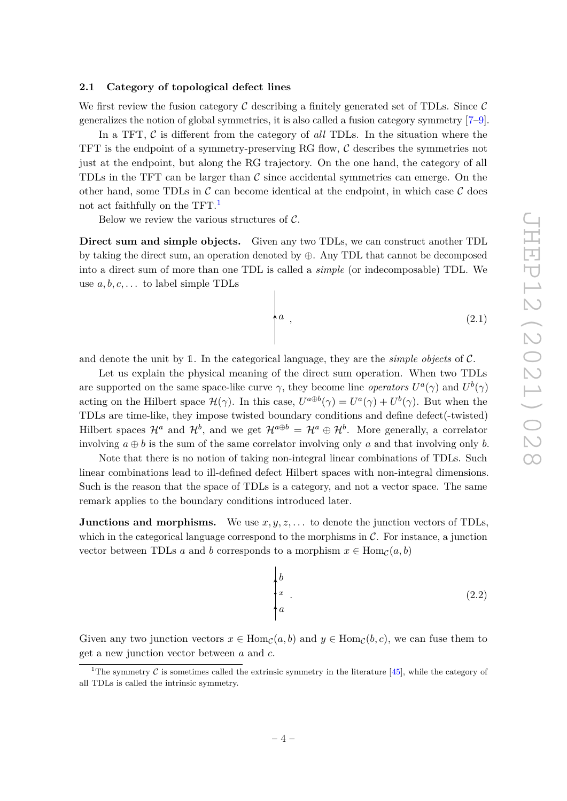## <span id="page-4-0"></span>**2.1 Category of topological defect lines**

We first review the fusion category  $\mathcal C$  describing a finitely generated set of TDLs. Since  $\mathcal C$ generalizes the notion of global symmetries, it is also called a fusion category symmetry [\[7–](#page-39-4)[9\]](#page-39-5).

In a TFT,  $\mathcal C$  is different from the category of *all* TDLs. In the situation where the TFT is the endpoint of a symmetry-preserving RG flow,  $\mathcal C$  describes the symmetries not just at the endpoint, but along the RG trajectory. On the one hand, the category of all TDLs in the TFT can be larger than  $\mathcal C$  since accidental symmetries can emerge. On the other hand, some TDLs in  $\mathcal C$  can become identical at the endpoint, in which case  $\mathcal C$  does not act faithfully on the TFT.<sup>[1](#page-4-1)</sup>

Below we review the various structures of  $C$ .

**Direct sum and simple objects.** Given any two TDLs, we can construct another TDL by taking the direct sum, an operation denoted by ⊕. Any TDL that cannot be decomposed into a direct sum of more than one TDL is called a *simple* (or indecomposable) TDL. We use *a, b, c, . . .* to label simple TDLs

$$
\begin{pmatrix} a & & & & \\ & a & & & \\ & & & & \\ & & & & & \\ & & & & & \\ & & & & & \\ \end{pmatrix} \tag{2.1}
$$

and denote the unit by 1. In the categorical language, they are the *simple objects* of C.

Let us explain the physical meaning of the direct sum operation. When two TDLs are supported on the same space-like curve  $\gamma$ , they become line *operators*  $U^a(\gamma)$  and  $U^b(\gamma)$ acting on the Hilbert space  $\mathcal{H}(\gamma)$ . In this case,  $U^{a \oplus b}(\gamma) = U^a(\gamma) + U^b(\gamma)$ . But when the TDLs are time-like, they impose twisted boundary conditions and define defect(-twisted) Hilbert spaces  $\mathcal{H}^a$  and  $\mathcal{H}^b$ , and we get  $\mathcal{H}^{a\oplus b} = \mathcal{H}^a \oplus \mathcal{H}^b$ . More generally, a correlator involving  $a \oplus b$  is the sum of the same correlator involving only a and that involving only b.

Note that there is no notion of taking non-integral linear combinations of TDLs. Such linear combinations lead to ill-defined defect Hilbert spaces with non-integral dimensions. Such is the reason that the space of TDLs is a category, and not a vector space. The same remark applies to the boundary conditions introduced later.

**Junctions and morphisms.** We use  $x, y, z, \ldots$  to denote the junction vectors of TDLs, which in the categorical language correspond to the morphisms in  $\mathcal{C}$ . For instance, a junction vector between TDLs *a* and *b* corresponds to a morphism  $x \in \text{Hom}_{\mathcal{C}}(a, b)$ 

$$
\begin{cases} b \\ x \\ a \end{cases} \tag{2.2}
$$

Given any two junction vectors  $x \in \text{Hom}_{\mathcal{C}}(a, b)$  and  $y \in \text{Hom}_{\mathcal{C}}(b, c)$ , we can fuse them to get a new junction vector between *a* and *c*.

<span id="page-4-1"></span><sup>&</sup>lt;sup>1</sup>The symmetry C is sometimes called the extrinsic symmetry in the literature [\[45\]](#page-41-8), while the category of all TDLs is called the intrinsic symmetry.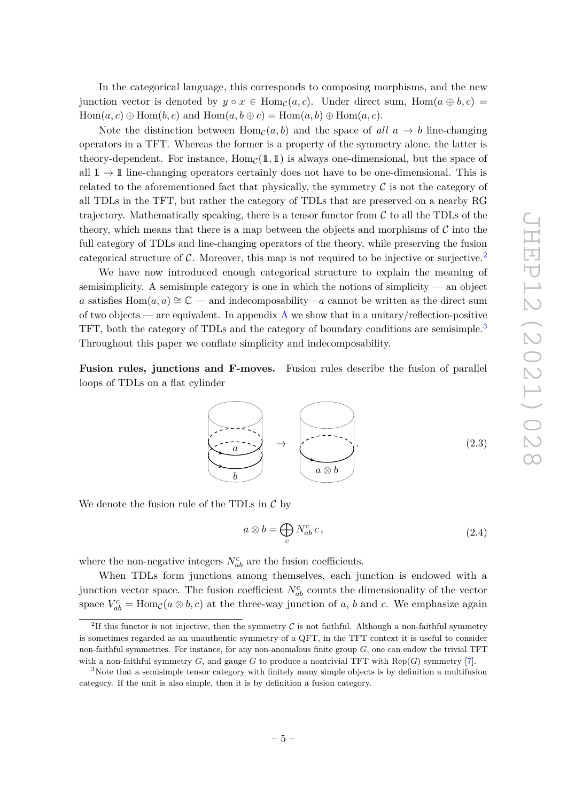In the categorical language, this corresponds to composing morphisms, and the new junction vector is denoted by  $y \circ x \in \text{Hom}_{\mathcal{C}}(a, c)$ . Under direct sum,  $\text{Hom}(a \oplus b, c)$  $Hom(a, c) \oplus Hom(b, c)$  and  $Hom(a, b \oplus c) = Hom(a, b) \oplus Hom(a, c)$ .

Note the distinction between  $Hom_{\mathcal{C}}(a, b)$  and the space of all  $a \to b$  line-changing operators in a TFT. Whereas the former is a property of the symmetry alone, the latter is theory-dependent. For instance,  $Hom_{\mathcal{C}}(1,1)$  is always one-dimensional, but the space of all  $1 \rightarrow 1$  line-changing operators certainly does not have to be one-dimensional. This is related to the aforementioned fact that physically, the symmetry  $\mathcal C$  is not the category of all TDLs in the TFT, but rather the category of TDLs that are preserved on a nearby RG trajectory. Mathematically speaking, there is a tensor functor from  $\mathcal C$  to all the TDLs of the theory, which means that there is a map between the objects and morphisms of  $\mathcal C$  into the full category of TDLs and line-changing operators of the theory, while preserving the fusion categorical structure of  $\mathcal{C}$ . Moreover, this map is not required to be injective or surjective.<sup>[2](#page-5-0)</sup>

We have now introduced enough categorical structure to explain the meaning of semisimplicity. A semisimple category is one in which the notions of simplicity — an object *a* satisfies  $Hom(a, a) \cong \mathbb{C}$  — and indecomposability—*a* cannot be written as the direct sum of two objects — are equivalent. In appendix  $A$  we show that in a unitary/reflection-positive TFT, both the category of TDLs and the category of boundary conditions are semisimple.<sup>[3](#page-5-1)</sup> Throughout this paper we conflate simplicity and indecomposability.

**Fusion rules, junctions and F-moves.** Fusion rules describe the fusion of parallel loops of TDLs on a flat cylinder

> *b*  $a \rightarrow$ *a* ⊗ *b .* (2.3)

We denote the fusion rule of the TDLs in  $\mathcal C$  by

<span id="page-5-2"></span>
$$
a \otimes b = \bigoplus_{c} N_{ab}^{c} c, \qquad (2.4)
$$

where the non-negative integers  $N_{ab}^c$  are the fusion coefficients.

When TDLs form junctions among themselves, each junction is endowed with a junction vector space. The fusion coefficient  $N_{ab}^c$  counts the dimensionality of the vector space  $V_{ab}^c$  = Hom<sub>C</sub>( $a \otimes b, c$ ) at the three-way junction of  $a, b$  and  $c$ . We emphasize again

<span id="page-5-0"></span><sup>&</sup>lt;sup>2</sup>If this functor is not injective, then the symmetry  $\mathcal C$  is not faithful. Although a non-faithful symmetry is sometimes regarded as an unauthentic symmetry of a QFT, in the TFT context it is useful to consider non-faithful symmetries. For instance, for any non-anomalous finite group *G*, one can endow the trivial TFT with a non-faithful symmetry  $G$ , and gauge  $G$  to produce a nontrivial TFT with  $\text{Rep}(G)$  symmetry [\[7\]](#page-39-4).

<span id="page-5-1"></span><sup>&</sup>lt;sup>3</sup>Note that a semisimple tensor category with finitely many simple objects is by definition a multifusion category. If the unit is also simple, then it is by definition a fusion category.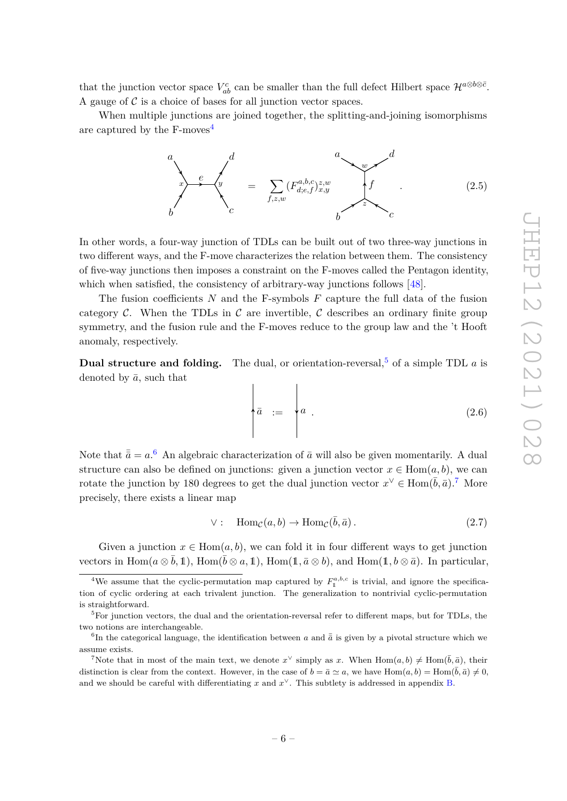that the junction vector space  $V_{ab}^c$  can be smaller than the full defect Hilbert space  $\mathcal{H}^{a\otimes b\otimes \bar{c}}$ . A gauge of  $\mathcal C$  is a choice of bases for all junction vector spaces.

When multiple junctions are joined together, the splitting-and-joining isomorphisms are captured by the  $F$ -moves<sup>[4](#page-6-0)</sup>

<span id="page-6-4"></span>

In other words, a four-way junction of TDLs can be built out of two three-way junctions in two different ways, and the F-move characterizes the relation between them. The consistency of five-way junctions then imposes a constraint on the F-moves called the Pentagon identity, which when satisfied, the consistency of arbitrary-way junctions follows [\[48\]](#page-41-11).

The fusion coefficients *N* and the F-symbols *F* capture the full data of the fusion category C. When the TDLs in C are invertible, C describes an ordinary finite group symmetry, and the fusion rule and the F-moves reduce to the group law and the 't Hooft anomaly, respectively.

**Dual structure and folding.** The dual, or orientation-reversal,  $5$  of a simple TDL  $a$  is denoted by  $\bar{a}$ , such that  $\overline{\phantom{a}}$ 

 $\overline{\phantom{a}}$ 

$$
\overline{a} := \begin{cases} a & \text{if } a & \text{if } a & \text{if } a \leq a \leq b \end{cases}
$$

Note that  $\bar{\bar{a}} = a$ .<sup>[6](#page-6-2)</sup> An algebraic characterization of  $\bar{a}$  will also be given momentarily. A dual structure can also be defined on junctions: given a junction vector  $x \in \text{Hom}(a, b)$ , we can rotate the junction by 180 degrees to get the dual junction vector  $x^{\vee} \in \text{Hom}(\bar{b}, \bar{a})$ .<sup>[7](#page-6-3)</sup> More precisely, there exists a linear map

$$
\vee: \quad \operatorname{Hom}_{\mathcal{C}}(a,b) \to \operatorname{Hom}_{\mathcal{C}}(\bar{b},\bar{a}). \tag{2.7}
$$

Given a junction  $x \in \text{Hom}(a, b)$ , we can fold it in four different ways to get junction vectors in  $\text{Hom}(a \otimes \bar{b}, 1)$ ,  $\text{Hom}(\bar{b} \otimes a, 1)$ ,  $\text{Hom}(1, \bar{a} \otimes b)$ , and  $\text{Hom}(1, b \otimes \bar{a})$ . In particular,

<span id="page-6-0"></span><sup>&</sup>lt;sup>4</sup>We assume that the cyclic-permutation map captured by  $F_1^{a,b,c}$  is trivial, and ignore the specification of cyclic ordering at each trivalent junction. The generalization to nontrivial cyclic-permutation is straightforward.

<span id="page-6-1"></span> ${}^{5}$ For junction vectors, the dual and the orientation-reversal refer to different maps, but for TDLs, the two notions are interchangeable.

<span id="page-6-2"></span><sup>&</sup>lt;sup>6</sup>In the categorical language, the identification between *a* and  $\bar{\bar{a}}$  is given by a pivotal structure which we assume exists.

<span id="page-6-3"></span><sup>&</sup>lt;sup>7</sup>Note that in most of the main text, we denote  $x^{\vee}$  simply as *x*. When  $Hom(a, b) \neq Hom(\bar{b}, \bar{a})$ , their distinction is clear from the context. However, in the case of  $b = \bar{a} \simeq a$ , we have  $Hom(a, b) = Hom(\bar{b}, \bar{a}) \neq 0$ , and we should be careful with differentiating  $x$  and  $x^{\vee}$ . This subtlety is addressed in appendix [B.](#page-38-0)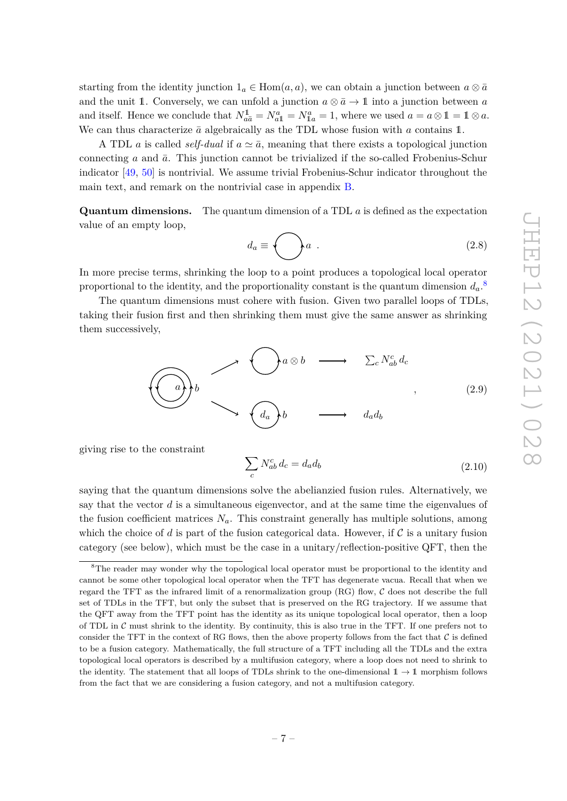starting from the identity junction  $1_a \in \text{Hom}(a, a)$ , we can obtain a junction between  $a \otimes \bar{a}$ and the unit 1. Conversely, we can unfold a junction  $a \otimes \overline{a} \to 1$  into a junction between *a* and itself. Hence we conclude that  $N_{a\bar{a}}^{\bar{a}} = N_{a\bar{1}}^a = N_{1a}^a = 1$ , where we used  $a = a \otimes 1 = 1 \otimes a$ . We can thus characterize  $\bar{a}$  algebraically as the TDL whose fusion with  $a$  contains 1.

A TDL *a* is called *self-dual* if  $a \simeq \bar{a}$ , meaning that there exists a topological junction connecting *a* and  $\bar{a}$ . This junction cannot be trivialized if the so-called Frobenius-Schur indicator [\[49,](#page-41-12) [50\]](#page-41-13) is nontrivial. We assume trivial Frobenius-Schur indicator throughout the main text, and remark on the nontrivial case in appendix [B.](#page-38-0)

**Quantum dimensions.** The quantum dimension of a TDL *a* is defined as the expectation value of an empty loop,

$$
d_a \equiv \bigodot a \tag{2.8}
$$

In more precise terms, shrinking the loop to a point produces a topological local operator proportional to the identity, and the proportionality constant is the quantum dimension  $d_a$ .<sup>[8](#page-7-0)</sup>

The quantum dimensions must cohere with fusion. Given two parallel loops of TDLs, taking their fusion first and then shrinking them must give the same answer as shrinking them successively,

$$
\bigodot \begin{matrix} a \\ b \end{matrix} b \longrightarrow \bigodot a \otimes b \longrightarrow \sum_{c} N_{ab}^{c} d_{c} \\ \downarrow \qquad \qquad (2.9)
$$

giving rise to the constraint

$$
\sum_{c} N_{ab}^{c} d_c = d_a d_b \tag{2.10}
$$

saying that the quantum dimensions solve the abelianzied fusion rules. Alternatively, we say that the vector *d* is a simultaneous eigenvector, and at the same time the eigenvalues of the fusion coefficient matrices  $N_a$ . This constraint generally has multiple solutions, among which the choice of *d* is part of the fusion categorical data. However, if  $\mathcal C$  is a unitary fusion category (see below), which must be the case in a unitary/reflection-positive QFT, then the

<span id="page-7-0"></span><sup>&</sup>lt;sup>8</sup>The reader may wonder why the topological local operator must be proportional to the identity and cannot be some other topological local operator when the TFT has degenerate vacua. Recall that when we regard the TFT as the infrared limit of a renormalization group  $(RG)$  flow,  $C$  does not describe the full set of TDLs in the TFT, but only the subset that is preserved on the RG trajectory. If we assume that the QFT away from the TFT point has the identity as its unique topological local operator, then a loop of TDL in  $\mathcal C$  must shrink to the identity. By continuity, this is also true in the TFT. If one prefers not to consider the TFT in the context of RG flows, then the above property follows from the fact that  $\mathcal C$  is defined to be a fusion category. Mathematically, the full structure of a TFT including all the TDLs and the extra topological local operators is described by a multifusion category, where a loop does not need to shrink to the identity. The statement that all loops of TDLs shrink to the one-dimensional  $1 \rightarrow 1$  morphism follows from the fact that we are considering a fusion category, and not a multifusion category.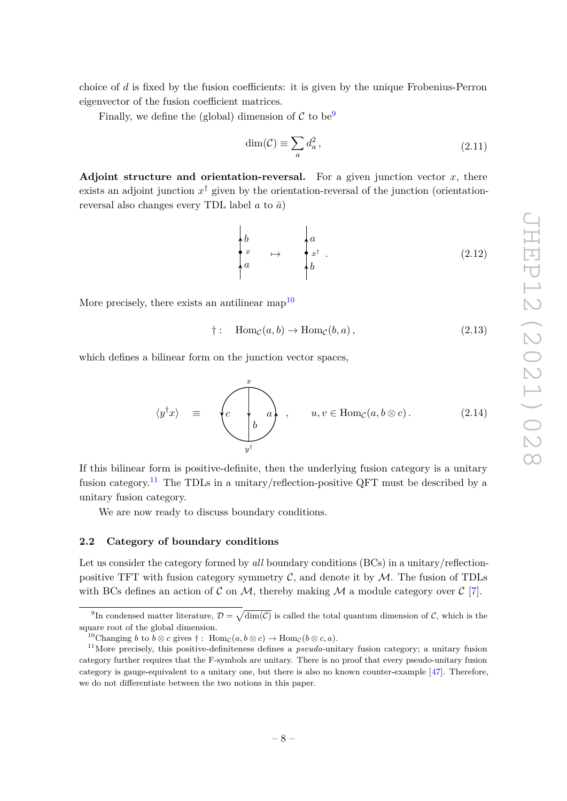choice of *d* is fixed by the fusion coefficients: it is given by the unique Frobenius-Perron eigenvector of the fusion coefficient matrices.

Finally, we define the (global) dimension of  $\mathcal C$  to be<sup>[9](#page-8-1)</sup>

$$
\dim(\mathcal{C}) \equiv \sum_{a} d_a^2, \qquad (2.11)
$$

**Adjoint structure and orientation-reversal.** For a given junction vector  $x$ , there exists an adjoint junction  $x^{\dagger}$  given by the orientation-reversal of the junction (orientationreversal also changes every TDL label  $a$  to  $\bar{a}$ )

$$
\begin{cases}\nb \\
x \\
a\n\end{cases} \mapsto \begin{cases}\na \\
x^{\dagger} \\
b\n\end{cases}.
$$
\n(2.12)

More precisely, there exists an antilinear map<sup>[10](#page-8-2)</sup>

$$
\dagger: \quad \text{Hom}_{\mathcal{C}}(a, b) \to \text{Hom}_{\mathcal{C}}(b, a), \tag{2.13}
$$

which defines a bilinear form on the junction vector spaces,

$$
\langle y^{\dagger} x \rangle = \begin{pmatrix} x \\ c \\ b \end{pmatrix}, \quad u, v \in \text{Hom}_{\mathcal{C}}(a, b \otimes c). \tag{2.14}
$$

If this bilinear form is positive-definite, then the underlying fusion category is a unitary fusion category.<sup>[11](#page-8-3)</sup> The TDLs in a unitary/reflection-positive QFT must be described by a unitary fusion category.

We are now ready to discuss boundary conditions.

#### <span id="page-8-0"></span>**2.2 Category of boundary conditions**

Let us consider the category formed by *all* boundary conditions (BCs) in a unitary/reflectionpositive TFT with fusion category symmetry  $C$ , and denote it by  $M$ . The fusion of TDLs with BCs defines an action of  $\mathcal C$  on  $\mathcal M$ , thereby making  $\mathcal M$  a module category over  $\mathcal C$  [\[7\]](#page-39-4).

<span id="page-8-1"></span><sup>&</sup>lt;sup>9</sup>In condensed matter literature,  $\mathcal{D} = \sqrt{\dim(\mathcal{C})}$  is called the total quantum dimension of  $\mathcal{C}$ , which is the square root of the global dimension.

<span id="page-8-3"></span><span id="page-8-2"></span><sup>&</sup>lt;sup>10</sup>Changing *b* to *b*  $\otimes$  *c* gives  $\dagger$ : Hom<sub>*c*</sub>( $a, b \otimes c$ )  $\rightarrow$  Hom<sub>*c*</sub>( $b \otimes c, a$ ).

<sup>11</sup>More precisely, this positive-definiteness defines a *pseudo-*unitary fusion category; a unitary fusion category further requires that the F-symbols are unitary. There is no proof that every pseudo-unitary fusion category is gauge-equivalent to a unitary one, but there is also no known counter-example [\[47\]](#page-41-10). Therefore, we do not differentiate between the two notions in this paper.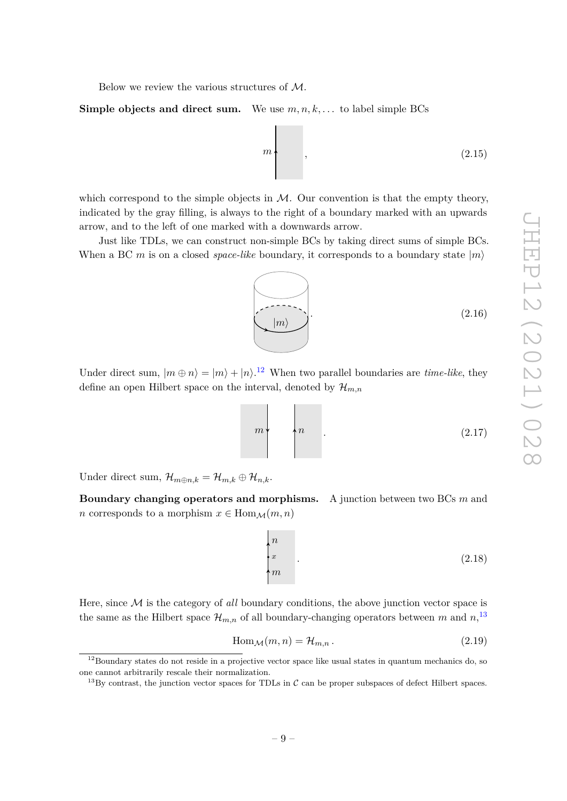Below we review the various structures of M.

**Simple objects and direct sum.** We use  $m, n, k, \ldots$  to label simple BCs



which correspond to the simple objects in  $M$ . Our convention is that the empty theory, indicated by the gray filling, is always to the right of a boundary marked with an upwards arrow, and to the left of one marked with a downwards arrow.

Just like TDLs, we can construct non-simple BCs by taking direct sums of simple BCs. When a BC *m* is on a closed *space-like* boundary, it corresponds to a boundary state  $|m\rangle$ 

 $|m\rangle$  $(2.16)$ 

Under direct sum,  $|m \oplus n\rangle = |m\rangle + |n\rangle$ .<sup>[12](#page-9-0)</sup> When two parallel boundaries are *time-like*, they define an open Hilbert space on the interval, denoted by  $\mathcal{H}_{m,n}$ 

$$
m \tag{2.17}
$$

Under direct sum,  $\mathcal{H}_{m \oplus n,k} = \mathcal{H}_{m,k} \oplus \mathcal{H}_{n,k}$ .

**Boundary changing operators and morphisms.** A junction between two BCs *m* and *n* corresponds to a morphism  $x \in \text{Hom}_{\mathcal{M}}(m, n)$ 

$$
\begin{cases} n \\ x \\ m \end{cases} \tag{2.18}
$$

Here, since M is the category of *all* boundary conditions, the above junction vector space is the same as the Hilbert space  $\mathcal{H}_{m,n}$  of all boundary-changing operators between m and  $n$ ,<sup>[13](#page-9-1)</sup>

$$
\text{Hom}_{\mathcal{M}}(m, n) = \mathcal{H}_{m, n} \,. \tag{2.19}
$$

<span id="page-9-0"></span> $12$ Boundary states do not reside in a projective vector space like usual states in quantum mechanics do, so one cannot arbitrarily rescale their normalization.

<span id="page-9-1"></span><sup>&</sup>lt;sup>13</sup>By contrast, the junction vector spaces for TDLs in  $\mathcal C$  can be proper subspaces of defect Hilbert spaces.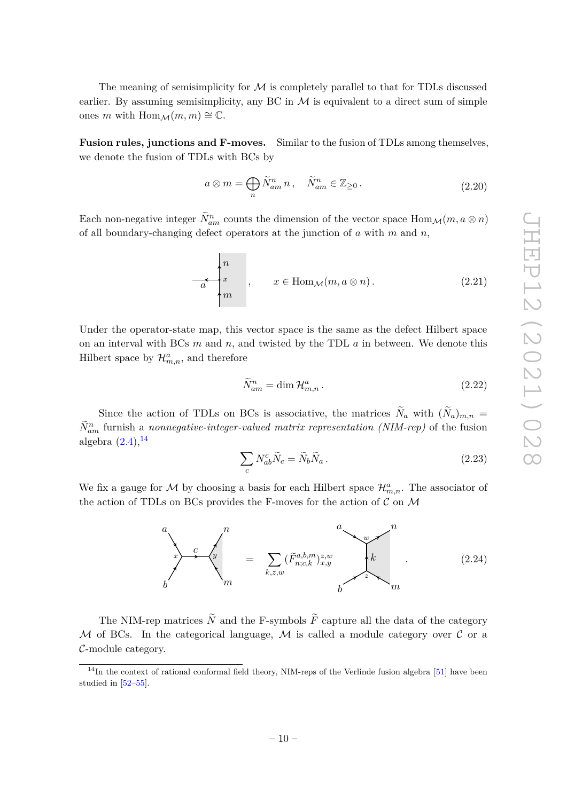The meaning of semisimplicity for  $\mathcal M$  is completely parallel to that for TDLs discussed earlier. By assuming semisimplicity, any BC in  $\mathcal M$  is equivalent to a direct sum of simple ones *m* with Hom $_M(m, m) \cong \mathbb{C}$ .

**Fusion rules, junctions and F-moves.** Similar to the fusion of TDLs among themselves, we denote the fusion of TDLs with BCs by

<span id="page-10-1"></span>
$$
a \otimes m = \bigoplus_{n} \tilde{N}_{am}^{n} n , \quad \tilde{N}_{am}^{n} \in \mathbb{Z}_{\geq 0} .
$$
 (2.20)

Each non-negative integer  $\tilde{N}_{am}^n$  counts the dimension of the vector space  $\text{Hom}_{\mathcal{M}}(m, a \otimes n)$ of all boundary-changing defect operators at the junction of *a* with *m* and *n*,

$$
x \begin{cases} n \\ x \\ m \end{cases}, \qquad x \in \text{Hom}_{\mathcal{M}}(m, a \otimes n). \tag{2.21}
$$

Under the operator-state map, this vector space is the same as the defect Hilbert space on an interval with BCs *m* and *n*, and twisted by the TDL *a* in between. We denote this Hilbert space by  $\mathcal{H}_{m,n}^a$ , and therefore

$$
\widetilde{N}_{am}^n = \dim \mathcal{H}_{m,n}^a.
$$
\n(2.22)

Since the action of TDLs on BCs is associative, the matrices  $N_a$  with  $(N_a)_{m,n}$  =  $\tilde{N}_{am}^{n}$  furnish a *nonnegative-integer-valued matrix representation (NIM-rep)* of the fusion algebra  $(2.4)$ ,  $^{14}$  $^{14}$  $^{14}$ 

$$
\sum_{c} N_{ab}^{c} \tilde{N}_c = \tilde{N}_b \tilde{N}_a \,. \tag{2.23}
$$

We fix a gauge for  $M$  by choosing a basis for each Hilbert space  $\mathcal{H}_{m,n}^a$ . The associator of the action of TDLs on BCs provides the F-moves for the action of  $\mathcal C$  on  $\mathcal M$ 

<span id="page-10-2"></span>

The NIM-rep matrices  $\tilde{N}$  and the F-symbols  $\tilde{F}$  capture all the data of the category M of BCs. In the categorical language, M is called a module category over  $\mathcal C$  or a C-module category.

<span id="page-10-0"></span> $14$ In the context of rational conformal field theory, NIM-reps of the Verlinde fusion algebra [\[51\]](#page-41-14) have been studied in [\[52–](#page-41-15)[55\]](#page-41-16).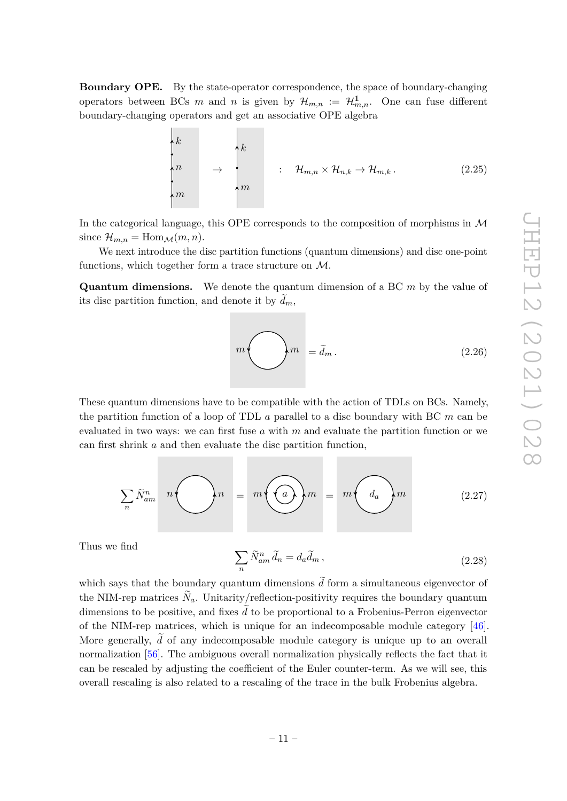**Boundary OPE.** By the state-operator correspondence, the space of boundary-changing operators between BCs *m* and *n* is given by  $\mathcal{H}_{m,n} := \mathcal{H}_{m,n}^{\mathbb{1}}$ . One can fuse different boundary-changing operators and get an associative OPE algebra

 $\mathbf{L}$ 

 $\mathbf{r}$ 

<span id="page-11-0"></span>
$$
\begin{pmatrix}\nk \\
n \\
n \\
m\n\end{pmatrix}\n\rightarrow\n\begin{pmatrix}\nk \\
n \\
m\n\end{pmatrix}\n\quad\n\begin{pmatrix}\n\vdots & \mathcal{H}_{m,n} \times \mathcal{H}_{n,k} \to \mathcal{H}_{m,k}.\n\end{pmatrix}
$$
\n(2.25)

In the categorical language, this OPE corresponds to the composition of morphisms in  $\mathcal M$ since  $\mathcal{H}_{m,n} = \text{Hom}_{\mathcal{M}}(m,n).$ 

We next introduce the disc partition functions (quantum dimensions) and disc one-point functions, which together form a trace structure on  $\mathcal{M}.$ 

**Quantum dimensions.** We denote the quantum dimension of a BC *m* by the value of its disc partition function, and denote it by  $d_m$ ,

 $\begin{cases} m = \tilde{d}_m. \end{cases}$  (2.26)

These quantum dimensions have to be compatible with the action of TDLs on BCs. Namely, the partition function of a loop of TDL *a* parallel to a disc boundary with BC *m* can be evaluated in two ways: we can first fuse *a* with *m* and evaluate the partition function or we can first shrink *a* and then evaluate the disc partition function,

$$
\sum_{n} \tilde{N}_{am}^{n} \quad n \bigodot n \quad = \quad m \bigodot m \quad = \quad m \bigodot a_{n} \bigodot m \tag{2.27}
$$

Thus we find

<span id="page-11-1"></span>
$$
\sum_{n} \tilde{N}_{am}^{n} \tilde{d}_{n} = d_{a} \tilde{d}_{m}, \qquad (2.28)
$$

which says that the boundary quantum dimensions  $\tilde{d}$  form a simultaneous eigenvector of the NIM-rep matrices  $N_a$ . Unitarity/reflection-positivity requires the boundary quantum dimensions to be positive, and fixes  $\tilde{d}$  to be proportional to a Frobenius-Perron eigenvector of the NIM-rep matrices, which is unique for an indecomposable module category [\[46\]](#page-41-9). More generally,  $\tilde{d}$  of any indecomposable module category is unique up to an overall normalization [\[56\]](#page-41-17). The ambiguous overall normalization physically reflects the fact that it can be rescaled by adjusting the coefficient of the Euler counter-term. As we will see, this overall rescaling is also related to a rescaling of the trace in the bulk Frobenius algebra.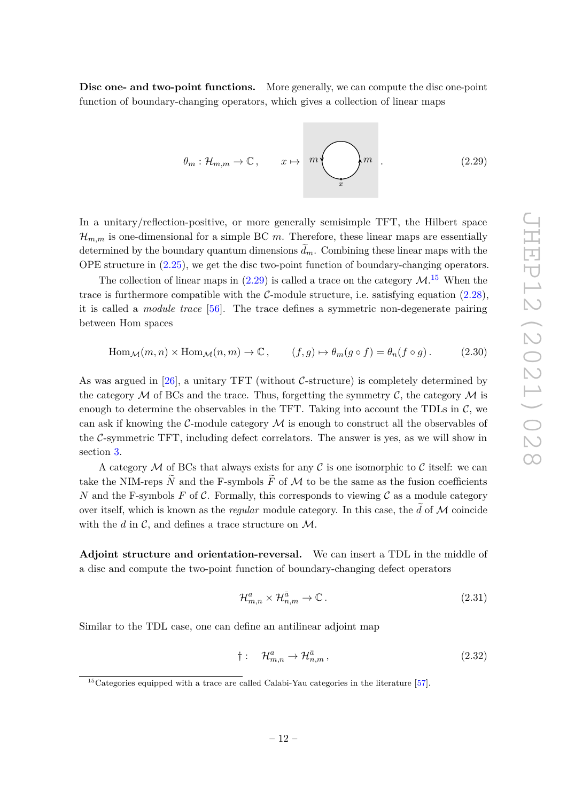**Disc one- and two-point functions.** More generally, we can compute the disc one-point function of boundary-changing operators, which gives a collection of linear maps

<span id="page-12-0"></span>
$$
\theta_m : \mathcal{H}_{m,m} \to \mathbb{C}, \qquad x \mapsto m
$$
  $\bigotimes_x m$  (2.29)

In a unitary/reflection-positive, or more generally semisimple TFT, the Hilbert space  $\mathcal{H}_{m,m}$  is one-dimensional for a simple BC m. Therefore, these linear maps are essentially determined by the boundary quantum dimensions  $\tilde{d}_m$ . Combining these linear maps with the OPE structure in [\(2.25\)](#page-11-0), we get the disc two-point function of boundary-changing operators.

The collection of linear maps in  $(2.29)$  is called a trace on the category  $\mathcal{M}$ .<sup>[15](#page-12-1)</sup> When the trace is furthermore compatible with the  $\mathcal{C}\text{-module structure}$ , i.e. satisfying equation  $(2.28)$ , it is called a *module trace* [\[56\]](#page-41-17). The trace defines a symmetric non-degenerate pairing between Hom spaces

<span id="page-12-2"></span>
$$
\text{Hom}_{\mathcal{M}}(m, n) \times \text{Hom}_{\mathcal{M}}(n, m) \to \mathbb{C}, \qquad (f, g) \mapsto \theta_m(g \circ f) = \theta_n(f \circ g). \tag{2.30}
$$

As was argued in [\[26\]](#page-40-6), a unitary TFT (without  $\mathcal{C}\text{-structure}$ ) is completely determined by the category  $\mathcal M$  of BCs and the trace. Thus, forgetting the symmetry  $\mathcal C$ , the category  $\mathcal M$  is enough to determine the observables in the TFT. Taking into account the TDLs in  $\mathcal{C}$ , we can ask if knowing the C-module category  $\mathcal M$  is enough to construct all the observables of the  $C$ -symmetric TFT, including defect correlators. The answer is yes, as we will show in section [3.](#page-13-0)

A category M of BCs that always exists for any C is one isomorphic to C itself: we can take the NIM-reps  $\tilde{N}$  and the F-symbols  $\tilde{F}$  of M to be the same as the fusion coefficients *N* and the F-symbols *F* of C. Formally, this corresponds to viewing C as a module category over itself, which is known as the *regular* module category. In this case, the  $\tilde{d}$  of M coincide with the  $d$  in  $\mathcal{C}$ , and defines a trace structure on  $\mathcal{M}$ .

**Adjoint structure and orientation-reversal.** We can insert a TDL in the middle of a disc and compute the two-point function of boundary-changing defect operators

$$
\mathcal{H}_{m,n}^a \times \mathcal{H}_{n,m}^{\bar{a}} \to \mathbb{C} \,. \tag{2.31}
$$

Similar to the TDL case, one can define an antilinear adjoint map

$$
\dagger: \quad \mathcal{H}_{m,n}^a \to \mathcal{H}_{n,m}^{\bar{a}},\tag{2.32}
$$

<span id="page-12-1"></span> $15$ Categories equipped with a trace are called Calabi-Yau categories in the literature [\[57\]](#page-42-0).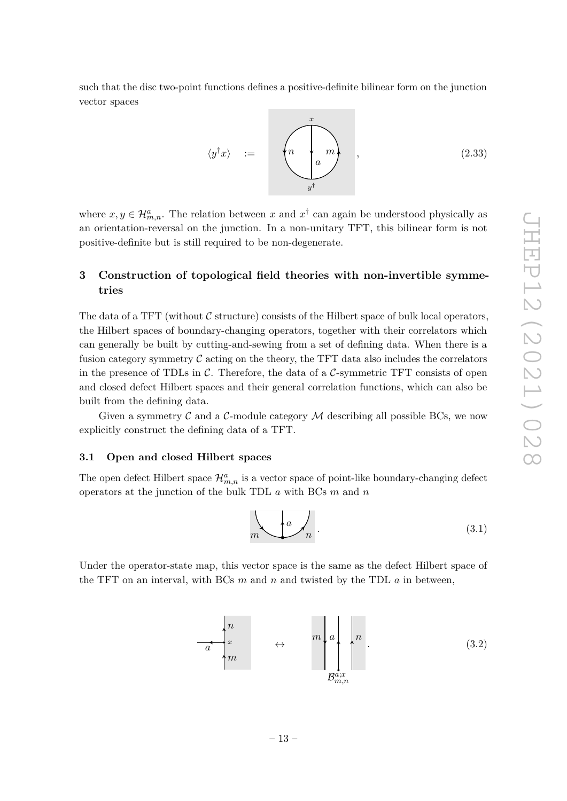such that the disc two-point functions defines a positive-definite bilinear form on the junction vector spaces

<span id="page-13-2"></span>
$$
\langle y^{\dagger} x \rangle = \left( n \underbrace{\left( n \right)}_{y^{\dagger}} m \right), \qquad (2.33)
$$

where  $x, y \in \mathcal{H}_{m,n}^a$ . The relation between x and  $x^{\dagger}$  can again be understood physically as an orientation-reversal on the junction. In a non-unitary TFT, this bilinear form is not positive-definite but is still required to be non-degenerate.

# <span id="page-13-0"></span>**3 Construction of topological field theories with non-invertible symmetries**

The data of a TFT (without  $\mathcal C$  structure) consists of the Hilbert space of bulk local operators, the Hilbert spaces of boundary-changing operators, together with their correlators which can generally be built by cutting-and-sewing from a set of defining data. When there is a fusion category symmetry  $\mathcal C$  acting on the theory, the TFT data also includes the correlators in the presence of TDLs in  $\mathcal{C}$ . Therefore, the data of a  $\mathcal{C}$ -symmetric TFT consists of open and closed defect Hilbert spaces and their general correlation functions, which can also be built from the defining data.

Given a symmetry  $\mathcal C$  and a  $\mathcal C$ -module category  $\mathcal M$  describing all possible BCs, we now explicitly construct the defining data of a TFT.

## <span id="page-13-1"></span>**3.1 Open and closed Hilbert spaces**

The open defect Hilbert space  $\mathcal{H}_{m,n}^a$  is a vector space of point-like boundary-changing defect operators at the junction of the bulk TDL *a* with BCs *m* and *n*

$$
m \leftarrow a \leftarrow n \tag{3.1}
$$

Under the operator-state map, this vector space is the same as the defect Hilbert space of the TFT on an interval, with BCs *m* and *n* and twisted by the TDL *a* in between,

$$
\begin{array}{ccc}\n & n \\
 & x \\
 & m\n\end{array}\n\quad \leftrightarrow \quad \begin{array}{c}\n & n \\
 & n \\
 & n\n\end{array}\n\quad \begin{array}{ccc}\n & & \\
 & n \\
 & n\n\end{array}.\n\end{array} \tag{3.2}
$$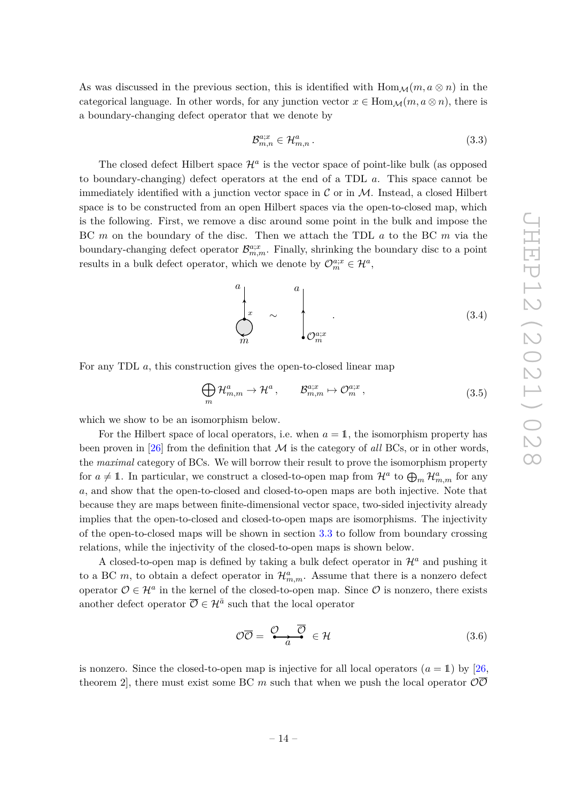As was discussed in the previous section, this is identified with  $\text{Hom}_{\mathcal{M}}(m, a \otimes n)$  in the categorical language. In other words, for any junction vector  $x \in \text{Hom}_{\mathcal{M}}(m, a \otimes n)$ , there is a boundary-changing defect operator that we denote by

$$
\mathcal{B}_{m,n}^{a;x} \in \mathcal{H}_{m,n}^a. \tag{3.3}
$$

The closed defect Hilbert space  $\mathcal{H}^a$  is the vector space of point-like bulk (as opposed to boundary-changing) defect operators at the end of a TDL *a*. This space cannot be immediately identified with a junction vector space in  $\cal C$  or in  $\cal M$ . Instead, a closed Hilbert space is to be constructed from an open Hilbert spaces via the open-to-closed map, which is the following. First, we remove a disc around some point in the bulk and impose the BC *m* on the boundary of the disc. Then we attach the TDL *a* to the BC *m* via the boundary-changing defect operator  $\mathcal{B}_{m,m}^{a;x}$ . Finally, shrinking the boundary disc to a point results in a bulk defect operator, which we denote by  $\mathcal{O}_{m}^{a;x} \in \mathcal{H}^{a}$ ,

<span id="page-14-1"></span>
$$
\left.\begin{matrix} a \\ x \\ m \end{matrix}\right|_{\mathcal{O}_m^{a;x}} \sim \left.\begin{matrix} a \\ \cdot \\ \cdot \\ \cdot \\ \cdot \end{matrix}\right|_{\mathcal{O}_m^{a;x}} \tag{3.4}
$$

For any TDL *a*, this construction gives the open-to-closed linear map

<span id="page-14-0"></span>
$$
\bigoplus_{m} \mathcal{H}_{m,m}^{a} \to \mathcal{H}^{a}, \qquad \mathcal{B}_{m,m}^{a;x} \mapsto \mathcal{O}_{m}^{a;x}, \qquad (3.5)
$$

which we show to be an isomorphism below.

For the Hilbert space of local operators, i.e. when  $a = 1$ , the isomorphism property has been proven in [\[26\]](#page-40-6) from the definition that  $\mathcal M$  is the category of *all* BCs, or in other words, the *maximal* category of BCs. We will borrow their result to prove the isomorphism property for  $a \neq 1$ . In particular, we construct a closed-to-open map from  $\mathcal{H}^a$  to  $\bigoplus_m \mathcal{H}^a_{m,m}$  for any *a*, and show that the open-to-closed and closed-to-open maps are both injective. Note that because they are maps between finite-dimensional vector space, two-sided injectivity already implies that the open-to-closed and closed-to-open maps are isomorphisms. The injectivity of the open-to-closed maps will be shown in section [3.3](#page-15-1) to follow from boundary crossing relations, while the injectivity of the closed-to-open maps is shown below.

A closed-to-open map is defined by taking a bulk defect operator in  $\mathcal{H}^a$  and pushing it to a BC  $m$ , to obtain a defect operator in  $\mathcal{H}_{m,m}^a$ . Assume that there is a nonzero defect operator  $\mathcal{O} \in \mathcal{H}^a$  in the kernel of the closed-to-open map. Since  $\mathcal{O}$  is nonzero, there exists another defect operator  $\overline{\mathcal{O}} \in \mathcal{H}^{\overline{a}}$  such that the local operator

$$
\mathcal{O}\overline{\mathcal{O}} = \stackrel{\mathcal{O}}{\longleftrightarrow} \overline{\mathcal{O}} \in \mathcal{H} \tag{3.6}
$$

is nonzero. Since the closed-to-open map is injective for all local operators  $(a = 1)$  by [\[26,](#page-40-6)] theorem 2, there must exist some BC m such that when we push the local operator  $\overline{O}$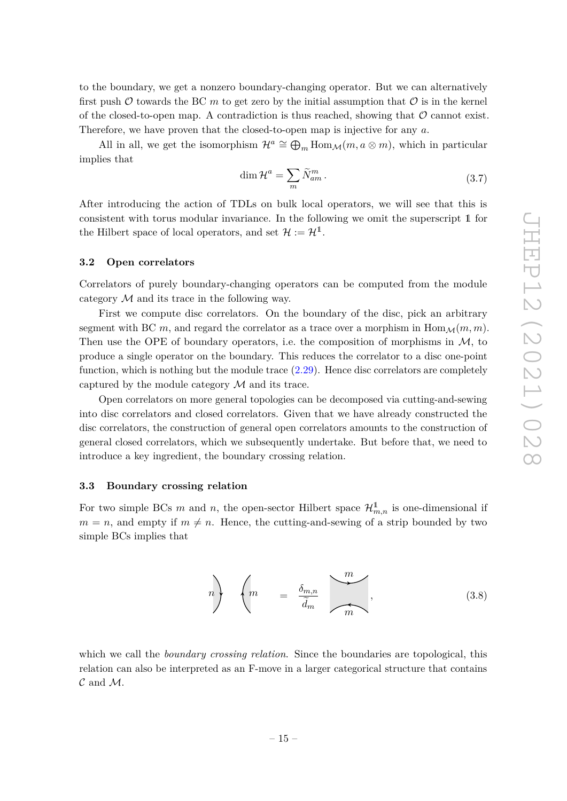to the boundary, we get a nonzero boundary-changing operator. But we can alternatively first push  $\mathcal O$  towards the BC  $m$  to get zero by the initial assumption that  $\mathcal O$  is in the kernel of the closed-to-open map. A contradiction is thus reached, showing that  $\mathcal O$  cannot exist. Therefore, we have proven that the closed-to-open map is injective for any *a*.

All in all, we get the isomorphism  $\mathcal{H}^a \cong \bigoplus_m \text{Hom}_{\mathcal{M}}(m, a \otimes m)$ , which in particular implies that

<span id="page-15-3"></span>
$$
\dim \mathcal{H}^a = \sum_m \widetilde{N}_{am}^m \,. \tag{3.7}
$$

After introducing the action of TDLs on bulk local operators, we will see that this is consistent with torus modular invariance. In the following we omit the superscript 1 for the Hilbert space of local operators, and set  $\mathcal{H} := \mathcal{H}^1$ .

#### <span id="page-15-0"></span>**3.2 Open correlators**

Correlators of purely boundary-changing operators can be computed from the module category  $M$  and its trace in the following way.

First we compute disc correlators. On the boundary of the disc, pick an arbitrary segment with BC m, and regard the correlator as a trace over a morphism in  $\text{Hom}_{\mathcal{M}}(m, m)$ . Then use the OPE of boundary operators, i.e. the composition of morphisms in  $M$ , to produce a single operator on the boundary. This reduces the correlator to a disc one-point function, which is nothing but the module trace  $(2.29)$ . Hence disc correlators are completely captured by the module category  $\mathcal M$  and its trace.

Open correlators on more general topologies can be decomposed via cutting-and-sewing into disc correlators and closed correlators. Given that we have already constructed the disc correlators, the construction of general open correlators amounts to the construction of general closed correlators, which we subsequently undertake. But before that, we need to introduce a key ingredient, the boundary crossing relation.

#### <span id="page-15-1"></span>**3.3 Boundary crossing relation**

For two simple BCs m and n, the open-sector Hilbert space  $\mathcal{H}_{m,n}^{\mathbb{1}}$  is one-dimensional if  $m = n$ , and empty if  $m \neq n$ . Hence, the cutting-and-sewing of a strip bounded by two simple BCs implies that

<span id="page-15-2"></span>
$$
n\left\}\n\begin{pmatrix}\nm & = \frac{\delta_{m,n}}{\tilde{d}_m} & m\n\end{pmatrix},\n\tag{3.8}
$$

which we call the *boundary crossing relation*. Since the boundaries are topological, this relation can also be interpreted as an F-move in a larger categorical structure that contains  $\mathcal C$  and  $\mathcal M$ .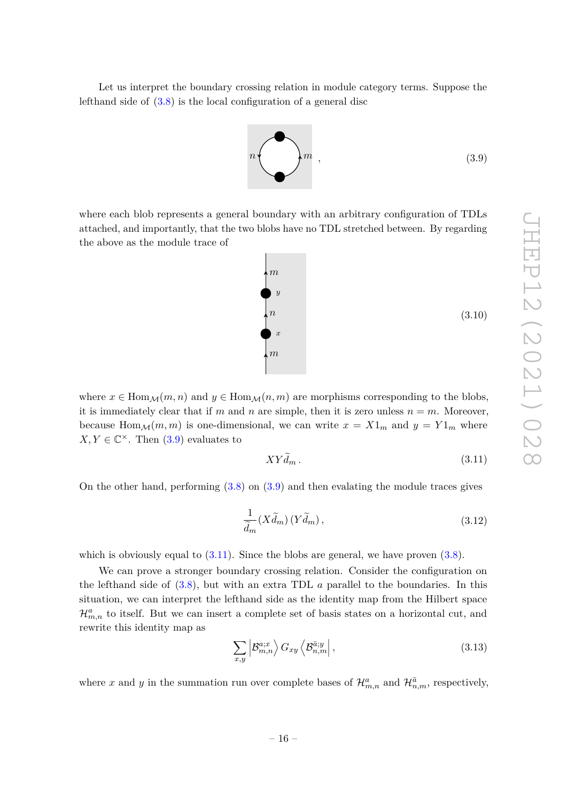Let us interpret the boundary crossing relation in module category terms. Suppose the lefthand side of [\(3.8\)](#page-15-2) is the local configuration of a general disc

<span id="page-16-0"></span>

where each blob represents a general boundary with an arbitrary configuration of TDLs attached, and importantly, that the two blobs have no TDL stretched between. By regarding the above as the module trace of



(3.10)

where  $x \in \text{Hom}_{\mathcal{M}}(m, n)$  and  $y \in \text{Hom}_{\mathcal{M}}(n, m)$  are morphisms corresponding to the blobs, it is immediately clear that if *m* and *n* are simple, then it is zero unless  $n = m$ . Moreover, because Hom $\mathcal{M}(m, m)$  is one-dimensional, we can write  $x = X1_m$  and  $y = Y1_m$  where  $X, Y \in \mathbb{C}^{\times}$ . Then [\(3.9\)](#page-16-0) evaluates to

<span id="page-16-1"></span>
$$
XYd_m. \t\t(3.11)
$$

On the other hand, performing  $(3.8)$  on  $(3.9)$  and then evalating the module traces gives

$$
\frac{1}{\tilde{d}_m}(X\tilde{d}_m)(Y\tilde{d}_m),\tag{3.12}
$$

which is obviously equal to  $(3.11)$ . Since the blobs are general, we have proven  $(3.8)$ .

We can prove a stronger boundary crossing relation. Consider the configuration on the lefthand side of [\(3.8\)](#page-15-2), but with an extra TDL *a* parallel to the boundaries. In this situation, we can interpret the lefthand side as the identity map from the Hilbert space  $\mathcal{H}_{m,n}^a$  to itself. But we can insert a complete set of basis states on a horizontal cut, and rewrite this identity map as

$$
\sum_{x,y} \left| \mathcal{B}_{m,n}^{a;x} \right\rangle G_{xy} \left\langle \mathcal{B}_{n,m}^{\bar{a};y} \right|, \tag{3.13}
$$

where x and y in the summation run over complete bases of  $\mathcal{H}_{m,n}^a$  and  $\mathcal{H}_{n,m}^{\bar{a}}$ , respectively,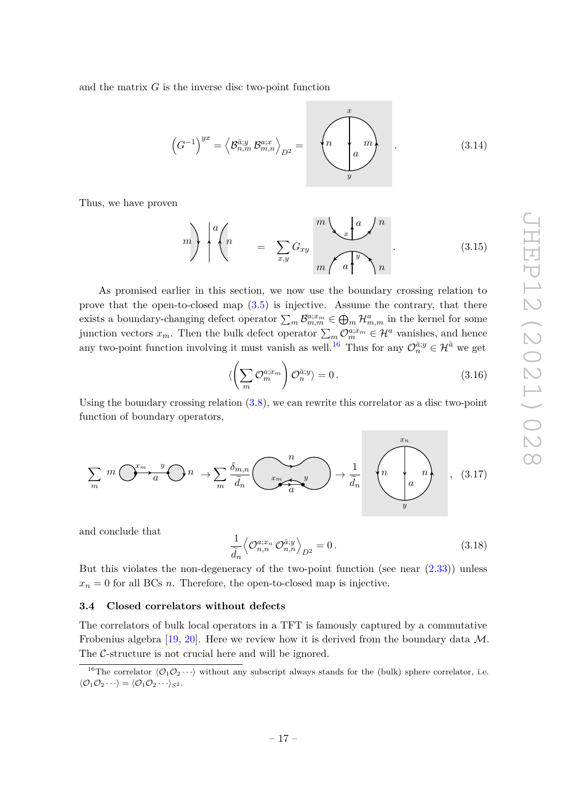and the matrix *G* is the inverse disc two-point function

<span id="page-17-3"></span>
$$
\left(G^{-1}\right)^{yx} = \left\langle \mathcal{B}_{n,m}^{\bar{a};y} \mathcal{B}_{m,n}^{a;x} \right\rangle_{D^2} = \left\langle n \downarrow m \right\rangle \tag{3.14}
$$

Thus, we have proven

<span id="page-17-2"></span>
$$
m\bigg\} \bigg| \left( n \right| = \sum_{x,y} G_{xy} \bigg| \frac{m \bigg\{ x \bigg\}^a}{m} \bigg| \frac{n}{a} \bigg\} \bigg| \tag{3.15}
$$

As promised earlier in this section, we now use the boundary crossing relation to prove that the open-to-closed map [\(3.5\)](#page-14-0) is injective. Assume the contrary, that there exists a boundary-changing defect operator  $\sum_m \mathcal{B}_{m,m}^{a;x_m} \in \bigoplus_m \mathcal{H}_{m,m}^a$  in the kernel for some junction vectors  $x_m$ . Then the bulk defect operator  $\sum_m \mathcal{O}_m^{a;x_m} \in \mathcal{H}^a$  vanishes, and hence any two-point function involving it must vanish as well.<sup>[16](#page-17-1)</sup> Thus for any  $\mathcal{O}_n^{\bar{a};y} \in \mathcal{H}^{\bar{a}}$  we get

$$
\langle \left(\sum_{m} \mathcal{O}_m^{a;x_m}\right) \mathcal{O}_n^{\bar{a};y} \rangle = 0. \tag{3.16}
$$

Using the boundary crossing relation [\(3.8\)](#page-15-2), we can rewrite this correlator as a disc two-point function of boundary operators,

$$
\sum_{m} m \underbrace{O^{x_m} \cdot \frac{y}{a}}_{m} O n \to \sum_{m} \underbrace{\delta_{m,n}}_{\widetilde{d}_n} \underbrace{m}_{\underbrace{y}} \longrightarrow \frac{1}{\widetilde{d}_n} \underbrace{m}_{\underbrace{n}} \underbrace{n}_{\underbrace{n}} \,, \tag{3.17}
$$

and conclude that

$$
\frac{1}{\widetilde{d}_n} \left\langle \mathcal{O}_{n,n}^{a;x_n} \mathcal{O}_{n,n}^{\bar{a};y} \right\rangle_{D^2} = 0.
$$
\n(3.18)

But this violates the non-degeneracy of the two-point function (see near  $(2.33)$ ) unless  $x_n = 0$  for all BCs *n*. Therefore, the open-to-closed map is injective.

#### <span id="page-17-0"></span>**3.4 Closed correlators without defects**

The correlators of bulk local operators in a TFT is famously captured by a commutative Frobenius algebra  $[19, 20]$  $[19, 20]$  $[19, 20]$ . Here we review how it is derived from the boundary data M. The C-structure is not crucial here and will be ignored.

<span id="page-17-1"></span><sup>&</sup>lt;sup>16</sup>The correlator  $\langle \mathcal{O}_1 \mathcal{O}_2 \cdots \rangle$  without any subscript always stands for the (bulk) sphere correlator, i.e.  $\langle \mathcal{O}_1 \mathcal{O}_2 \cdots \rangle = \langle \mathcal{O}_1 \mathcal{O}_2 \cdots \rangle_{S^2}.$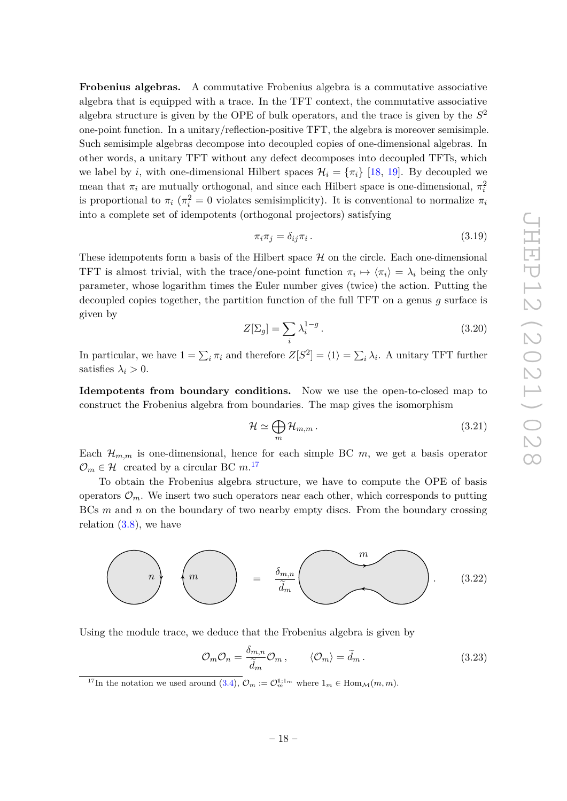**Frobenius algebras.** A commutative Frobenius algebra is a commutative associative algebra that is equipped with a trace. In the TFT context, the commutative associative algebra structure is given by the OPE of bulk operators, and the trace is given by the *S* 2 one-point function. In a unitary/reflection-positive TFT, the algebra is moreover semisimple. Such semisimple algebras decompose into decoupled copies of one-dimensional algebras. In other words, a unitary TFT without any defect decomposes into decoupled TFTs, which we label by *i*, with one-dimensional Hilbert spaces  $\mathcal{H}_i = {\pi_i}$  [\[18,](#page-40-9) [19\]](#page-40-7). By decoupled we mean that  $\pi_i$  are mutually orthogonal, and since each Hilbert space is one-dimensional,  $\pi_i^2$ is proportional to  $\pi_i$  ( $\pi_i^2 = 0$  violates semisimplicity). It is conventional to normalize  $\pi_i$ into a complete set of idempotents (orthogonal projectors) satisfying

$$
\pi_i \pi_j = \delta_{ij} \pi_i \,. \tag{3.19}
$$

These idempotents form a basis of the Hilbert space  $H$  on the circle. Each one-dimensional TFT is almost trivial, with the trace/one-point function  $\pi_i \mapsto \langle \pi_i \rangle = \lambda_i$  being the only parameter, whose logarithm times the Euler number gives (twice) the action. Putting the decoupled copies together, the partition function of the full TFT on a genus *g* surface is given by

$$
Z[\Sigma_g] = \sum_i \lambda_i^{1-g} \,. \tag{3.20}
$$

In particular, we have  $1 = \sum_i \pi_i$  and therefore  $Z[S^2] = \langle 1 \rangle = \sum_i \lambda_i$ . A unitary TFT further satisfies  $\lambda_i > 0$ .

**Idempotents from boundary conditions.** Now we use the open-to-closed map to construct the Frobenius algebra from boundaries. The map gives the isomorphism

$$
\mathcal{H} \simeq \bigoplus_{m} \mathcal{H}_{m,m} \,. \tag{3.21}
$$

Each  $\mathcal{H}_{m,m}$  is one-dimensional, hence for each simple BC  $m$ , we get a basis operator  $\mathcal{O}_m \in \mathcal{H}$  created by a circular BC  $m$ .<sup>[17](#page-18-0)</sup>

To obtain the Frobenius algebra structure, we have to compute the OPE of basis operators  $\mathcal{O}_m$ . We insert two such operators near each other, which corresponds to putting BCs *m* and *n* on the boundary of two nearby empty discs. From the boundary crossing relation  $(3.8)$ , we have



Using the module trace, we deduce that the Frobenius algebra is given by

<span id="page-18-1"></span>
$$
\mathcal{O}_m \mathcal{O}_n = \frac{\delta_{m,n}}{\tilde{d}_m} \mathcal{O}_m, \qquad \langle \mathcal{O}_m \rangle = \tilde{d}_m. \qquad (3.23)
$$

<span id="page-18-0"></span><sup>17</sup>In the notation we used around [\(3.4\)](#page-14-1),  $\mathcal{O}_m := \mathcal{O}_m^{1,1_m}$  where  $1_m \in \text{Hom}_{\mathcal{M}}(m,m)$ .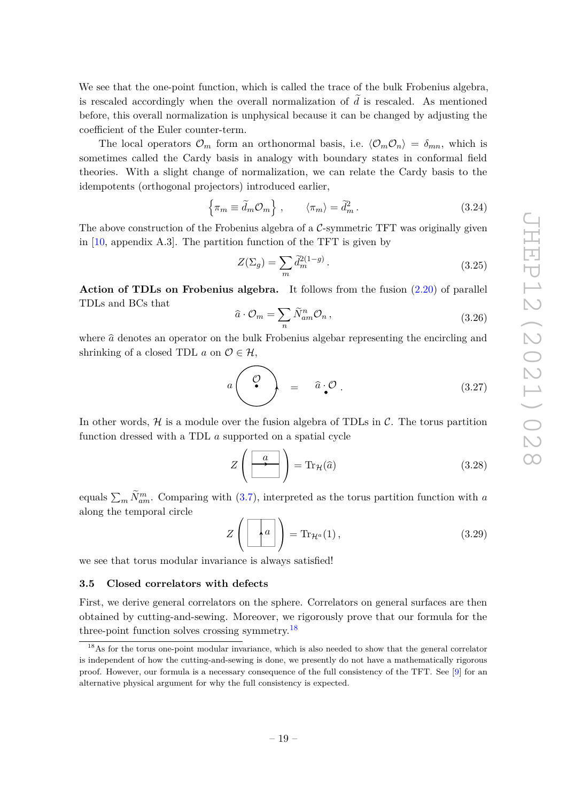We see that the one-point function, which is called the trace of the bulk Frobenius algebra, is rescaled accordingly when the overall normalization of  $\tilde{d}$  is rescaled. As mentioned before, this overall normalization is unphysical because it can be changed by adjusting the coefficient of the Euler counter-term.

The local operators  $\mathcal{O}_m$  form an orthonormal basis, i.e.  $\langle \mathcal{O}_m \mathcal{O}_n \rangle = \delta_{mn}$ , which is sometimes called the Cardy basis in analogy with boundary states in conformal field theories. With a slight change of normalization, we can relate the Cardy basis to the idempotents (orthogonal projectors) introduced earlier,

$$
\left\{\pi_m \equiv \tilde{d}_m \mathcal{O}_m\right\} , \qquad \left\langle \pi_m \right\rangle = \tilde{d}_m^2 . \tag{3.24}
$$

The above construction of the Frobenius algebra of a  $C$ -symmetric TFT was originally given in [\[10,](#page-39-9) appendix A.3]. The partition function of the TFT is given by

$$
Z(\Sigma_g) = \sum_m \tilde{d}_m^{2(1-g)}.
$$
\n(3.25)

**Action of TDLs on Frobenius algebra.** It follows from the fusion [\(2.20\)](#page-10-1) of parallel TDLs and BCs that

$$
\widehat{a} \cdot \mathcal{O}_m = \sum_n \widetilde{N}_{am}^n \mathcal{O}_n, \qquad (3.26)
$$

where  $\hat{a}$  denotes an operator on the bulk Frobenius algebar representing the encircling and shrinking of a closed TDL  $a$  on  $\mathcal{O} \in \mathcal{H}$ ,

$$
a\left(\begin{array}{c}\n\mathcal{O} \\
\mathcal{O}\n\end{array}\right) = \hat{a} \cdot \mathcal{O} \tag{3.27}
$$

In other words,  $H$  is a module over the fusion algebra of TDLs in  $C$ . The torus partition function dressed with a TDL *a* supported on a spatial cycle

$$
Z\left(\begin{array}{|c|}\hline a\\ \hline \end{array}\right) = \text{Tr}_{\mathcal{H}}(\hat{a})\tag{3.28}
$$

equals  $\sum_{m} \tilde{N}_{am}^{m}$ . Comparing with [\(3.7\)](#page-15-3), interpreted as the torus partition function with *a* along the temporal circle

$$
Z\left(\begin{array}{|c|}\hline a\\ \hline \end{array}\right) = \text{Tr}_{\mathcal{H}^a}(1),\tag{3.29}
$$

we see that torus modular invariance is always satisfied!

#### <span id="page-19-0"></span>**3.5 Closed correlators with defects**

First, we derive general correlators on the sphere. Correlators on general surfaces are then obtained by cutting-and-sewing. Moreover, we rigorously prove that our formula for the three-point function solves crossing symmetry.[18](#page-19-1)

<span id="page-19-1"></span><sup>&</sup>lt;sup>18</sup>As for the torus one-point modular invariance, which is also needed to show that the general correlator is independent of how the cutting-and-sewing is done, we presently do not have a mathematically rigorous proof. However, our formula is a necessary consequence of the full consistency of the TFT. See [\[9\]](#page-39-5) for an alternative physical argument for why the full consistency is expected.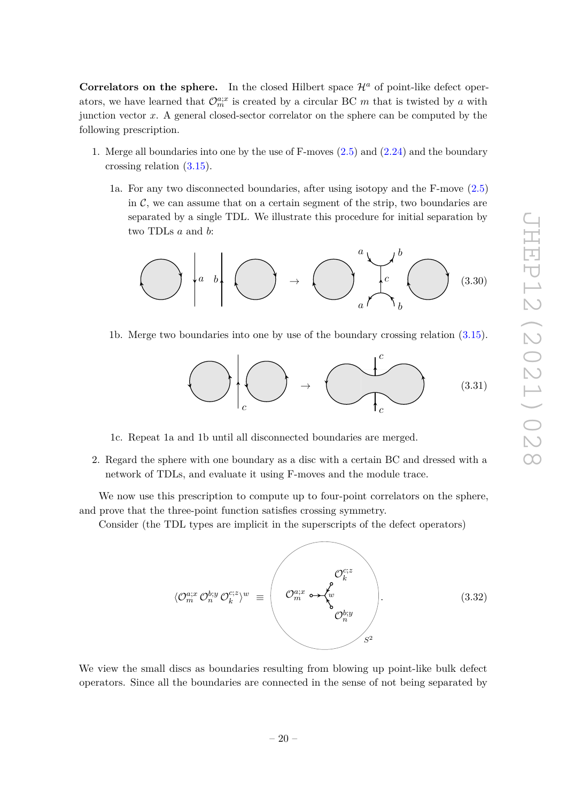**Correlators on the sphere.** In the closed Hilbert space  $\mathcal{H}^a$  of point-like defect operators, we have learned that  $\mathcal{O}_{m}^{a;x}$  is created by a circular BC *m* that is twisted by *a* with junction vector *x*. A general closed-sector correlator on the sphere can be computed by the following prescription.

- 1. Merge all boundaries into one by the use of F-moves [\(2.5\)](#page-6-4) and [\(2.24\)](#page-10-2) and the boundary crossing relation [\(3.15\)](#page-17-2).
	- 1a. For any two disconnected boundaries, after using isotopy and the F-move [\(2.5\)](#page-6-4) in  $\mathcal{C}$ , we can assume that on a certain segment of the strip, two boundaries are separated by a single TDL. We illustrate this procedure for initial separation by two TDLs *a* and *b*:

$$
\bigodot \left| a \right| b \right| \bigodot \rightarrow \bigodot \left| \bigodot^{a} \downarrow \right| b \bigodot \left| \bigodot \right| (3.30)
$$

1b. Merge two boundaries into one by use of the boundary crossing relation [\(3.15\)](#page-17-2).



1c. Repeat 1a and 1b until all disconnected boundaries are merged.

2. Regard the sphere with one boundary as a disc with a certain BC and dressed with a network of TDLs, and evaluate it using F-moves and the module trace.

We now use this prescription to compute up to four-point correlators on the sphere, and prove that the three-point function satisfies crossing symmetry.

Consider (the TDL types are implicit in the superscripts of the defect operators)

$$
\langle \mathcal{O}_m^{a;x} \mathcal{O}_n^{b;y} \mathcal{O}_k^{c;z} \rangle^w \equiv \begin{pmatrix} \mathcal{O}_k^{c;z} \\ \mathcal{O}_m^{a;x} \rightarrow \begin{pmatrix} \mathcal{O}_k^{c;z} \\ w \\ \mathcal{O}_n^{b;y} \end{pmatrix} . \end{pmatrix} . \tag{3.32}
$$

We view the small discs as boundaries resulting from blowing up point-like bulk defect operators. Since all the boundaries are connected in the sense of not being separated by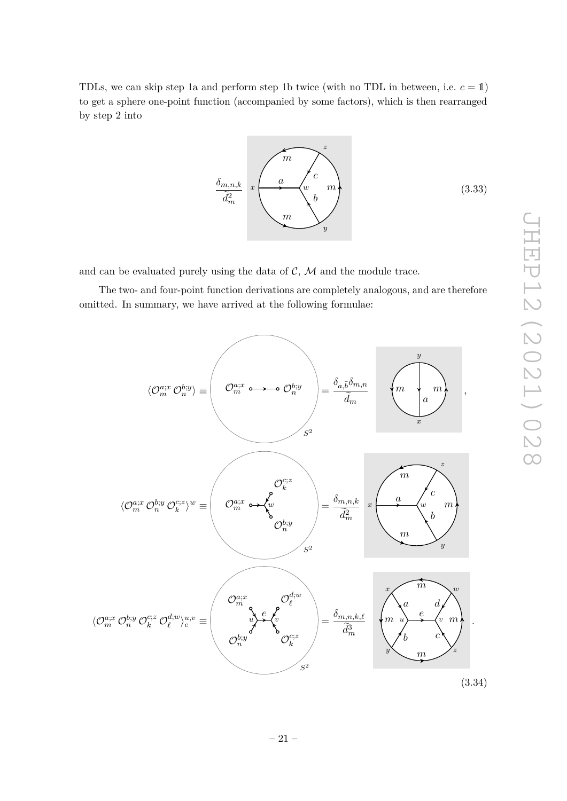TDLs, we can skip step 1a and perform step 1b twice (with no TDL in between, i.e.  $c = 1$ ) to get a sphere one-point function (accompanied by some factors), which is then rearranged by step 2 into

$$
\underbrace{\delta_{m,n,k}}_{\widetilde{d}_m^2} \quad x \begin{pmatrix} m \\ a \\ w \\ w \\ w \end{pmatrix} \begin{pmatrix} z \\ m \\ b \\ y \end{pmatrix}
$$
 (3.33)

and can be evaluated purely using the data of  $C$ ,  $M$  and the module trace.

The two- and four-point function derivations are completely analogous, and are therefore omitted. In summary, we have arrived at the following formulae:

<span id="page-21-0"></span>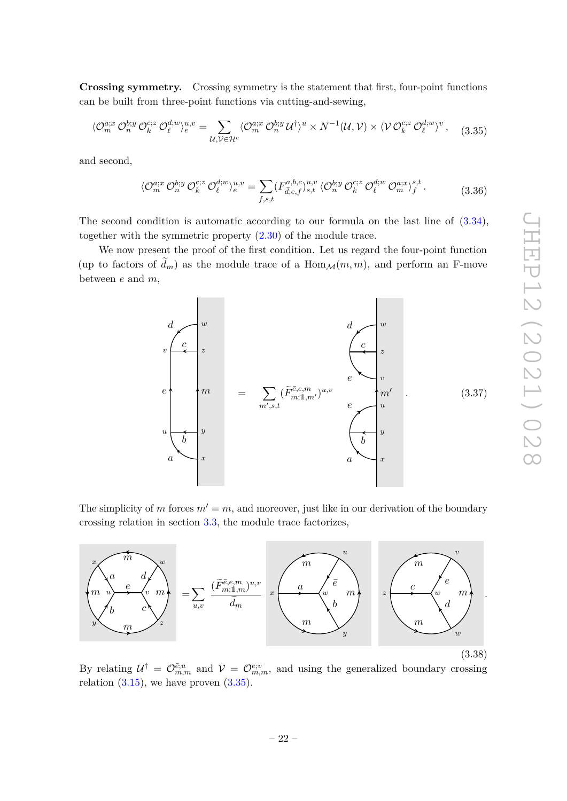**Crossing symmetry.** Crossing symmetry is the statement that first, four-point functions can be built from three-point functions via cutting-and-sewing,

<span id="page-22-0"></span>
$$
\langle \mathcal{O}_m^{a;x} \mathcal{O}_n^{b;y} \mathcal{O}_k^{c;z} \mathcal{O}_\ell^{d;w} \rangle_e^{u,v} = \sum_{\mathcal{U}, \mathcal{V} \in \mathcal{H}^e} \langle \mathcal{O}_m^{a;x} \mathcal{O}_n^{b;y} \mathcal{U}^\dagger \rangle^u \times N^{-1}(\mathcal{U}, \mathcal{V}) \times \langle \mathcal{V} \mathcal{O}_k^{c;z} \mathcal{O}_\ell^{d;w} \rangle^v, \tag{3.35}
$$

and second,

$$
\langle \mathcal{O}_m^{a;x} \mathcal{O}_n^{b;y} \mathcal{O}_k^{c;z} \mathcal{O}_\ell^{d;w} \rangle_e^{u,v} = \sum_{f,s,t} (F_{\bar{d},e,f}^{a,b,c})_{s,t}^{u,v} \langle \mathcal{O}_n^{b;y} \mathcal{O}_k^{c;z} \mathcal{O}_\ell^{d;w} \mathcal{O}_m^{a;x} \rangle_f^{s,t}.
$$
 (3.36)

The second condition is automatic according to our formula on the last line of [\(3.34\)](#page-21-0), together with the symmetric property [\(2.30\)](#page-12-2) of the module trace.

We now present the proof of the first condition. Let us regard the four-point function (up to factors of  $d_m$ ) as the module trace of a  $\text{Hom}_{\mathcal{M}}(m, m)$ , and perform an F-move between *e* and *m*,



The simplicity of *m* forces  $m' = m$ , and moreover, just like in our derivation of the boundary crossing relation in section [3.3,](#page-15-1) the module trace factorizes,



By relating  $\mathcal{U}^{\dagger} = \mathcal{O}_{m,m}^{\bar{e};u}$  and  $\mathcal{V} = \mathcal{O}_{m,m}^{\bar{e};v}$ , and using the generalized boundary crossing relation  $(3.15)$ , we have proven  $(3.35)$ .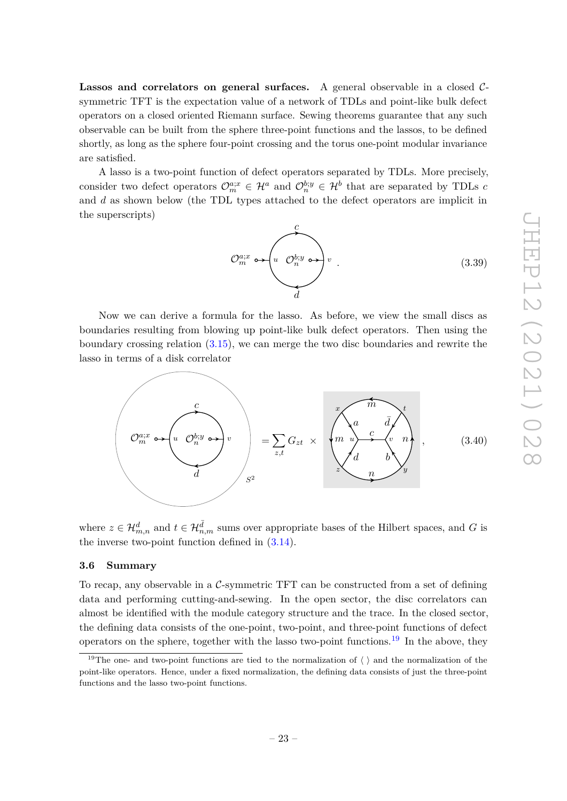Lassos and correlators on general surfaces. A general observable in a closed Csymmetric TFT is the expectation value of a network of TDLs and point-like bulk defect operators on a closed oriented Riemann surface. Sewing theorems guarantee that any such observable can be built from the sphere three-point functions and the lassos, to be defined shortly, as long as the sphere four-point crossing and the torus one-point modular invariance are satisfied.

A lasso is a two-point function of defect operators separated by TDLs. More precisely, consider two defect operators  $\mathcal{O}_{m}^{a;x} \in \mathcal{H}^{a}$  and  $\mathcal{O}_{n}^{b;y} \in \mathcal{H}^{b}$  that are separated by TDLs *c* and *d* as shown below (the TDL types attached to the defect operators are implicit in the superscripts)

*d c*  $\mathcal{O}_m^{a;x} \longrightarrow \begin{pmatrix} u & \mathcal{O}_n^{b;y} & \rightarrow \end{pmatrix} u$ *.* (3.39)

Now we can derive a formula for the lasso. As before, we view the small discs as boundaries resulting from blowing up point-like bulk defect operators. Then using the boundary crossing relation [\(3.15\)](#page-17-2), we can merge the two disc boundaries and rewrite the lasso in terms of a disk correlator

<span id="page-23-2"></span>
$$
\left(\begin{array}{c}\n\mathbf{C} \\
\mathbf{C}^{a;x}_{m} \leftrightarrow \left(u_{m}\mathbf{C}^{b;y}_{n}\right)v \\
\vdots \\
\mathbf{C}^{a;x}_{m}\n\end{array}\right)_{s=1}^{c} = \sum_{z,t} G_{zt} \times \left(\begin{array}{c}\n\mathbf{C} \\
\mathbf{C} \\
\mathbf{C} \\
\mathbf{C} \\
\mathbf{C} \\
\mathbf{C} \\
\mathbf{C} \\
\mathbf{C} \\
\mathbf{C} \\
\mathbf{C} \\
\mathbf{C} \\
\mathbf{C} \\
\mathbf{C} \\
\mathbf{C} \\
\mathbf{C} \\
\mathbf{C} \\
\mathbf{C} \\
\mathbf{C} \\
\mathbf{C} \\
\mathbf{C} \\
\mathbf{C} \\
\mathbf{C} \\
\mathbf{C} \\
\mathbf{C} \\
\mathbf{C} \\
\mathbf{C} \\
\mathbf{C} \\
\mathbf{C} \\
\mathbf{C} \\
\mathbf{C} \\
\mathbf{C} \\
\mathbf{C} \\
\mathbf{C} \\
\mathbf{C} \\
\mathbf{C} \\
\mathbf{C} \\
\mathbf{C} \\
\mathbf{C} \\
\mathbf{C} \\
\mathbf{C} \\
\mathbf{C} \\
\mathbf{C} \\
\mathbf{C} \\
\mathbf{C} \\
\mathbf{C} \\
\mathbf{C} \\
\mathbf{C} \\
\mathbf{C} \\
\mathbf{C} \\
\mathbf{C} \\
\mathbf{C} \\
\mathbf{C} \\
\mathbf{C} \\
\mathbf{C} \\
\mathbf{C} \\
\mathbf{C} \\
\mathbf{C} \\
\mathbf{C} \\
\mathbf{C} \\
\mathbf{C} \\
\mathbf{C} \\
\mathbf{C} \\
\mathbf{C} \\
\mathbf{C} \\
\mathbf{C} \\
\mathbf{C} \\
\mathbf{C} \\
\mathbf{C} \\
\mathbf{C} \\
\mathbf{C} \\
\mathbf{C} \\
\mathbf{C} \\
\mathbf{C} \\
\mathbf{C} \\
\mathbf{C} \\
\mathbf{C} \\
\mathbf{C} \\
\mathbf{C} \\
\mathbf{C} \\
\mathbf{C} \\
\mathbf{C} \\
\mathbf{C} \\
\mathbf{C} \\
\mathbf{C} \\
\mathbf{C} \\
\mathbf{C} \\
\mathbf{C} \\
\mathbf{C} \\
\mathbf{C} \\
\mathbf{C} \\
\mathbf{C} \\
\mathbf{C} \\
\mathbf{C} \\
\mathbf
$$

where  $z \in \mathcal{H}_{m,n}^d$  and  $t \in \mathcal{H}_{n,m}^{\overline{d}}$  sums over appropriate bases of the Hilbert spaces, and *G* is the inverse two-point function defined in [\(3.14\)](#page-17-3).

## <span id="page-23-0"></span>**3.6 Summary**

To recap, any observable in a C-symmetric TFT can be constructed from a set of defining data and performing cutting-and-sewing. In the open sector, the disc correlators can almost be identified with the module category structure and the trace. In the closed sector, the defining data consists of the one-point, two-point, and three-point functions of defect operators on the sphere, together with the lasso two-point functions.[19](#page-23-1) In the above, they

<span id="page-23-1"></span><sup>&</sup>lt;sup>19</sup>The one- and two-point functions are tied to the normalization of  $\langle \ \rangle$  and the normalization of the point-like operators. Hence, under a fixed normalization, the defining data consists of just the three-point functions and the lasso two-point functions.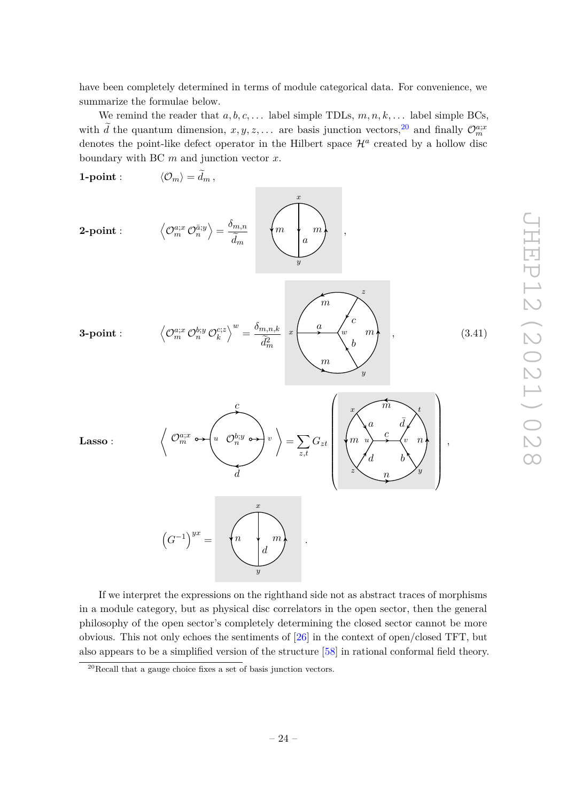have been completely determined in terms of module categorical data. For convenience, we summarize the formulae below.

We remind the reader that  $a, b, c, \ldots$  label simple TDLs,  $m, n, k, \ldots$  label simple BCs, with  $\tilde{d}$  the quantum dimension,  $x, y, z, \ldots$  are basis junction vectors, <sup>[20](#page-24-0)</sup> and finally  $\mathcal{O}_m^{a;x}$ denotes the point-like defect operator in the Hilbert space  $\mathcal{H}^a$  created by a hollow disc boundary with BC *m* and junction vector *x*.

<span id="page-24-1"></span>

If we interpret the expressions on the righthand side not as abstract traces of morphisms in a module category, but as physical disc correlators in the open sector, then the general philosophy of the open sector's completely determining the closed sector cannot be more obvious. This not only echoes the sentiments of [\[26\]](#page-40-6) in the context of open/closed TFT, but also appears to be a simplified version of the structure [\[58\]](#page-42-1) in rational conformal field theory.

<span id="page-24-0"></span><sup>20</sup>Recall that a gauge choice fixes a set of basis junction vectors.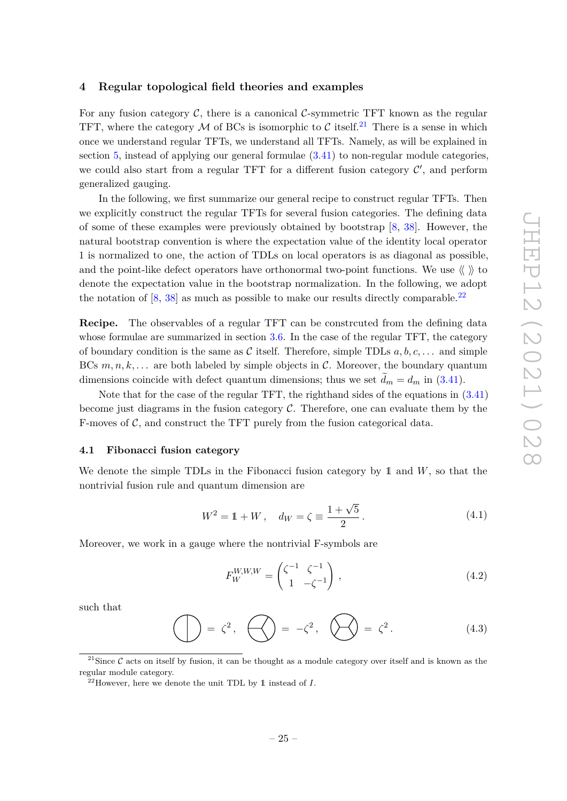## <span id="page-25-0"></span>**4 Regular topological field theories and examples**

For any fusion category  $\mathcal{C}$ , there is a canonical  $\mathcal{C}$ -symmetric TFT known as the regular TFT, where the category  $M$  of BCs is isomorphic to C itself.<sup>[21](#page-25-2)</sup> There is a sense in which once we understand regular TFTs, we understand all TFTs. Namely, as will be explained in section [5,](#page-31-0) instead of applying our general formulae [\(3.41\)](#page-24-1) to non-regular module categories, we could also start from a regular TFT for a different fusion category  $\mathcal{C}'$ , and perform generalized gauging.

In the following, we first summarize our general recipe to construct regular TFTs. Then we explicitly construct the regular TFTs for several fusion categories. The defining data of some of these examples were previously obtained by bootstrap [\[8,](#page-39-3) [38\]](#page-41-2). However, the natural bootstrap convention is where the expectation value of the identity local operator 1 is normalized to one, the action of TDLs on local operators is as diagonal as possible, and the point-like defect operators have orthonormal two-point functions. We use  $\langle \rangle$  to denote the expectation value in the bootstrap normalization. In the following, we adopt the notation of  $[8, 38]$  $[8, 38]$  $[8, 38]$  as much as possible to make our results directly comparable.<sup>[22](#page-25-3)</sup>

**Recipe.** The observables of a regular TFT can be constrcuted from the defining data whose formulae are summarized in section [3.6.](#page-23-0) In the case of the regular TFT, the category of boundary condition is the same as C itself. Therefore, simple TDLs  $a, b, c, \ldots$  and simple BCs  $m, n, k, \ldots$  are both labeled by simple objects in C. Moreover, the boundary quantum dimensions coincide with defect quantum dimensions; thus we set  $d_m = d_m$  in [\(3.41\)](#page-24-1).

Note that for the case of the regular TFT, the righthand sides of the equations in [\(3.41\)](#page-24-1) become just diagrams in the fusion category  $C$ . Therefore, one can evaluate them by the F-moves of  $\mathcal{C}$ , and construct the TFT purely from the fusion categorical data.

#### <span id="page-25-1"></span>**4.1 Fibonacci fusion category**

We denote the simple TDLs in the Fibonacci fusion category by 1 and *W*, so that the nontrivial fusion rule and quantum dimension are

$$
W^{2} = 1 + W, \quad d_{W} = \zeta \equiv \frac{1 + \sqrt{5}}{2}.
$$
 (4.1)

Moreover, we work in a gauge where the nontrivial F-symbols are

$$
F_W^{W,W,W} = \begin{pmatrix} \zeta^{-1} & \zeta^{-1} \\ 1 & -\zeta^{-1} \end{pmatrix} \,, \tag{4.2}
$$

such that

$$
\bigoplus = \zeta^2, \quad \bigoplus = -\zeta^2, \quad \bigotimes = \zeta^2. \tag{4.3}
$$

<span id="page-25-2"></span><sup>&</sup>lt;sup>21</sup>Since  $\mathcal C$  acts on itself by fusion, it can be thought as a module category over itself and is known as the regular module category.

<span id="page-25-3"></span> $^{22}$ However, here we denote the unit TDL by 1 instead of *I*.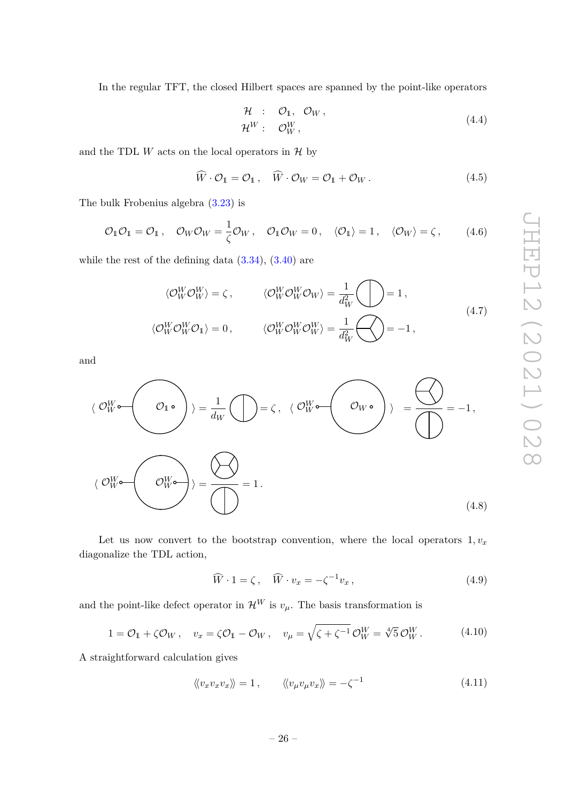In the regular TFT, the closed Hilbert spaces are spanned by the point-like operators

$$
\mathcal{H} : \mathcal{O}_1, \mathcal{O}_W, \n\mathcal{H}^W : \mathcal{O}_W^W,
$$
\n(4.4)

and the TDL  $W$  acts on the local operators in  $H$  by

$$
\tilde{W} \cdot \mathcal{O}_1 = \mathcal{O}_1 \,, \quad \tilde{W} \cdot \mathcal{O}_W = \mathcal{O}_1 + \mathcal{O}_W \,. \tag{4.5}
$$

The bulk Frobenius algebra [\(3.23\)](#page-18-1) is

$$
\mathcal{O}_1 \mathcal{O}_1 = \mathcal{O}_1 \,, \quad \mathcal{O}_W \mathcal{O}_W = \frac{1}{\zeta} \mathcal{O}_W \,, \quad \mathcal{O}_1 \mathcal{O}_W = 0 \,, \quad \langle \mathcal{O}_1 \rangle = 1 \,, \quad \langle \mathcal{O}_W \rangle = \zeta \,, \tag{4.6}
$$

while the rest of the defining data  $(3.34)$ ,  $(3.40)$  are

$$
\langle \mathcal{O}_W^W \mathcal{O}_W^W \rangle = \zeta, \qquad \langle \mathcal{O}_W^W \mathcal{O}_W^W \mathcal{O}_W \rangle = \frac{1}{d_W^2} \bigotimes = 1,
$$
  

$$
\langle \mathcal{O}_W^W \mathcal{O}_W^W \mathcal{O}_1 \rangle = 0, \qquad \langle \mathcal{O}_W^W \mathcal{O}_W^W \mathcal{O}_W^W \rangle = \frac{1}{d_W^2} \bigotimes = -1,
$$
  
(4.7)

and

$$
\langle \mathcal{O}_{W}^{W} \bullet \left( O_{1} \bullet \right) \rangle = \frac{1}{d_{W}} \left( \bigcap_{\mathcal{O}_{W}^{W} \bullet} \left( O_{W} \bullet \right) \right) = \bigotimes_{\mathcal{O}_{W}^{W} \bullet} \left( O_{W} \bullet \right) \rangle = \bigotimes_{\mathcal{O}_{W}^{W} \bullet} \left( O_{W} \bullet \right) = -1,
$$
\n
$$
\langle \mathcal{O}_{W}^{W} \bullet \left( O_{W}^{W} \bullet \right) \rangle = \bigotimes_{\mathcal{O}_{W}^{W} \bullet} \left( 4.8 \right)
$$
\n
$$
(4.8)
$$

Let us now convert to the bootstrap convention, where the local operators  $1, v_x$ diagonalize the TDL action,

$$
\widehat{W} \cdot 1 = \zeta, \quad \widehat{W} \cdot v_x = -\zeta^{-1} v_x, \tag{4.9}
$$

and the point-like defect operator in  $\mathcal{H}^W$  is  $v_\mu$ . The basis transformation is

$$
1 = \mathcal{O}_1 + \zeta \mathcal{O}_W, \quad v_x = \zeta \mathcal{O}_1 - \mathcal{O}_W, \quad v_\mu = \sqrt{\zeta + \zeta^{-1}} \mathcal{O}_W^W = \sqrt[4]{5} \mathcal{O}_W^W. \tag{4.10}
$$

A straightforward calculation gives

$$
\langle v_x v_x v_x v_x \rangle = 1, \qquad \langle v_\mu v_\mu v_x v_x \rangle = -\zeta^{-1} \qquad (4.11)
$$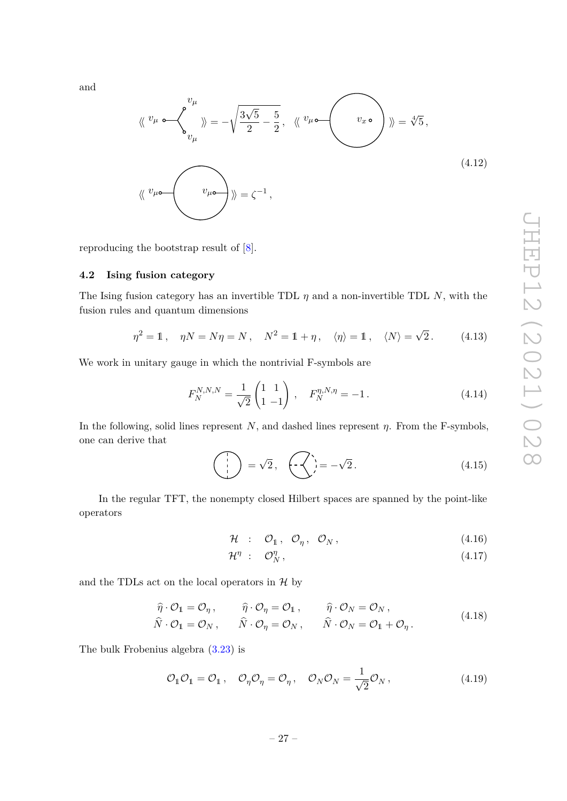and

$$
\langle \langle v_{\mu} \circ \langle v_{\mu} \rangle \rangle = -\sqrt{\frac{3\sqrt{5}}{2} - \frac{5}{2}}, \quad \langle \langle v_{\mu} \circ \langle v_{\mu} \rangle \rangle \rangle = \sqrt[4]{5},
$$
\n
$$
\langle \langle v_{\mu} \circ \langle v_{\mu} \rangle \rangle \rangle = \zeta^{-1},
$$
\n(4.12)

reproducing the bootstrap result of [\[8\]](#page-39-3).

## <span id="page-27-0"></span>**4.2 Ising fusion category**

The Ising fusion category has an invertible TDL  $\eta$  and a non-invertible TDL *N*, with the fusion rules and quantum dimensions

$$
\eta^2 = 1, \quad \eta N = N\eta = N, \quad N^2 = 1 + \eta, \quad \langle \eta \rangle = 1, \quad \langle N \rangle = \sqrt{2}. \tag{4.13}
$$

We work in unitary gauge in which the nontrivial F-symbols are

$$
F_N^{N,N,N} = \frac{1}{\sqrt{2}} \begin{pmatrix} 1 & 1 \\ 1 & -1 \end{pmatrix}, \quad F_N^{\eta,N,\eta} = -1. \tag{4.14}
$$

In the following, solid lines represent *N*, and dashed lines represent *η*. From the F-symbols, one can derive that

$$
\begin{pmatrix} 1 \\ 1 \\ 1 \end{pmatrix} = \sqrt{2}, \quad \begin{pmatrix} 1 \\ -1 \\ 1 \end{pmatrix} = -\sqrt{2}. \tag{4.15}
$$

In the regular TFT, the nonempty closed Hilbert spaces are spanned by the point-like operators

$$
\mathcal{H} \quad : \quad \mathcal{O}_1 \,, \quad \mathcal{O}_\eta \,, \quad \mathcal{O}_N \,, \tag{4.16}
$$

$$
\mathcal{H}^{\eta} \; : \; \mathcal{O}_N^{\eta} \,, \tag{4.17}
$$

and the TDLs act on the local operators in  $H$  by

$$
\widehat{\eta} \cdot \mathcal{O}_1 = \mathcal{O}_{\eta} , \qquad \widehat{\eta} \cdot \mathcal{O}_{\eta} = \mathcal{O}_1 , \qquad \widehat{\eta} \cdot \mathcal{O}_N = \mathcal{O}_N , \n\widehat{N} \cdot \mathcal{O}_1 = \mathcal{O}_N , \qquad \widehat{N} \cdot \mathcal{O}_{\eta} = \mathcal{O}_N , \qquad \widehat{N} \cdot \mathcal{O}_N = \mathcal{O}_1 + \mathcal{O}_{\eta} .
$$
\n(4.18)

The bulk Frobenius algebra [\(3.23\)](#page-18-1) is

$$
\mathcal{O}_1 \mathcal{O}_1 = \mathcal{O}_1 \,, \quad \mathcal{O}_\eta \mathcal{O}_\eta = \mathcal{O}_\eta \,, \quad \mathcal{O}_N \mathcal{O}_N = \frac{1}{\sqrt{2}} \mathcal{O}_N \,, \tag{4.19}
$$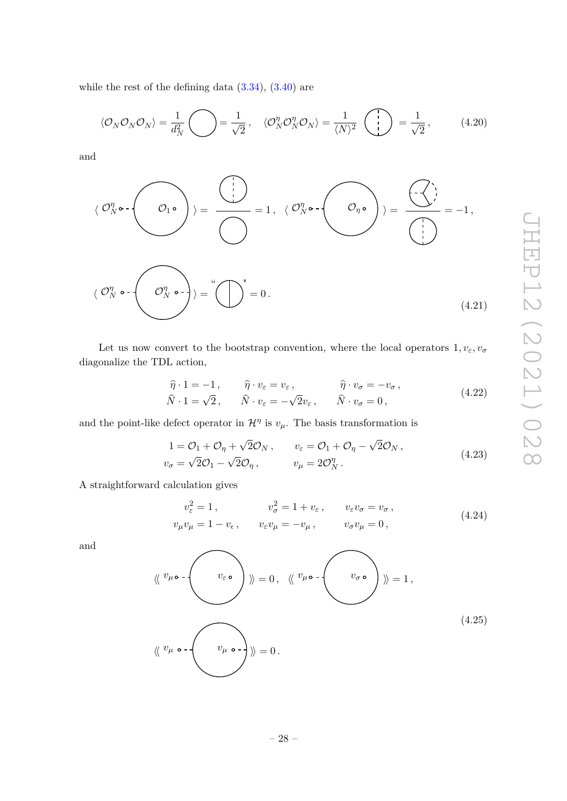while the rest of the defining data  $(3.34)$ ,  $(3.40)$  are

$$
\langle \mathcal{O}_N \mathcal{O}_N \mathcal{O}_N \rangle = \frac{1}{d_N^2} \bigodot = \frac{1}{\sqrt{2}}, \quad \langle \mathcal{O}_N^{\eta} \mathcal{O}_N^{\eta} \mathcal{O}_N \rangle = \frac{1}{\langle N \rangle^2} \left( \bigodot \right) = \frac{1}{\sqrt{2}}, \quad (4.20)
$$

and

$$
\langle \mathcal{O}_N^{\eta} \circ \cdot \left( \bigcirc \cdot \right) \rangle = \frac{\langle \cdot \rangle}{\langle \cdot \rangle} = 1, \ \langle \mathcal{O}_N^{\eta} \circ \cdot \left( \bigcirc \cdot \right) \rangle = \frac{\langle \cdot \cdot \rangle}{\langle \cdot \rangle} = -1,
$$
\n
$$
\langle \mathcal{O}_N^{\eta} \circ \cdot \left( \bigcirc \cdot \right) \rangle = \langle \cdot \bigcirc \cdot \left( \bigcirc \cdot \right) \rangle = \langle \cdot \bigcirc \cdot \left( \cdot \right) \rangle = \langle \cdot \bigcirc \cdot \left( \cdot \right) \rangle = \langle \cdot \bigcirc \cdot \left( \cdot \bigcirc \cdot \right) \rangle = \langle \cdot \bigcirc \cdot \left( \cdot \bigcirc \cdot \right) \rangle = \langle \cdot \bigcirc \cdot \left( \cdot \bigcirc \cdot \right) \rangle = \langle \cdot \bigcirc \cdot \left( \cdot \bigcirc \cdot \right) \rangle = \langle \cdot \bigcirc \cdot \left( \cdot \bigcirc \cdot \right) \rangle = \langle \cdot \bigcirc \cdot \left( \cdot \bigcirc \cdot \right) \rangle = \langle \cdot \bigcirc \cdot \left( \cdot \bigcirc \cdot \right) \rangle = \langle \cdot \bigcirc \cdot \left( \cdot \bigcirc \cdot \right) \rangle = \langle \cdot \bigcirc \cdot \left( \cdot \bigcirc \cdot \right) \rangle = \langle \cdot \bigcirc \cdot \left( \cdot \bigcirc \cdot \right) \rangle = \langle \cdot \bigcirc \cdot \left( \cdot \bigcirc \cdot \right) \rangle = \langle \cdot \bigcirc \cdot \left( \cdot \bigcirc \cdot \right) \rangle = \langle \cdot \bigcirc \cdot \left( \cdot \bigcirc \cdot \right) \rangle = \langle \cdot \bigcirc \cdot \left( \cdot \bigcirc \cdot \right) \rangle = \langle \cdot \bigcirc \cdot \left( \cdot \bigcirc \cdot \right) \rangle = \langle \cdot \bigcirc \cdot \left( \cdot \bigcirc \cdot \right) \rangle = \langle \cdot \bigcirc \cdot \left( \cdot \bigcirc \cdot \right) \rangle = \langle \cdot \bigcirc \cdot \left( \cdot \bigcirc \cdot \right) \rangle = \langle \cdot \bigcirc \cdot \left( \cdot \bigcirc \cdot \right) \rangle = \langle \cdot \bigcirc \cdot \left( \cdot \bigcirc \cdot \right) \rangle = \langle \cdot \bigcirc \cdot \left( \cdot \bigcirc \cdot \right) \rangle = \langle \cdot \bigcirc \cdot \left( \cdot \bigcirc \cdot \right) \rangle = \langle \
$$

Let us now convert to the bootstrap convention, where the local operators  $1, v_{\varepsilon}, v_{\sigma}$ diagonalize the TDL action,

$$
\widehat{\eta} \cdot 1 = -1, \qquad \widehat{\eta} \cdot v_{\varepsilon} = v_{\varepsilon}, \qquad \widehat{\eta} \cdot v_{\sigma} = -v_{\sigma}, \n\widehat{N} \cdot 1 = \sqrt{2}, \qquad \widehat{N} \cdot v_{\varepsilon} = -\sqrt{2}v_{\varepsilon}, \qquad \widehat{N} \cdot v_{\sigma} = 0,
$$
\n(4.22)

and the point-like defect operator in  $\mathcal{H}^{\eta}$  is  $v_{\mu}$ . The basis transformation is

$$
1 = \mathcal{O}_1 + \mathcal{O}_\eta + \sqrt{2}\mathcal{O}_N, \qquad v_\varepsilon = \mathcal{O}_1 + \mathcal{O}_\eta - \sqrt{2}\mathcal{O}_N, v_\sigma = \sqrt{2}\mathcal{O}_1 - \sqrt{2}\mathcal{O}_\eta, \qquad v_\mu = 2\mathcal{O}_N^\eta.
$$
 (4.23)

A straightforward calculation gives

$$
v_{\varepsilon}^{2} = 1, \t v_{\sigma}^{2} = 1 + v_{\varepsilon}, \t v_{\varepsilon}v_{\sigma} = v_{\sigma},
$$
  
\n
$$
v_{\mu}v_{\mu} = 1 - v_{\varepsilon}, \t v_{\varepsilon}v_{\mu} = -v_{\mu}, \t v_{\sigma}v_{\mu} = 0,
$$
\n(4.24)

and

$$
\langle \langle v_{\mu} \circ \cdot \langle v_{\varepsilon} \circ \cdot \rangle \rangle = 0, \quad \langle \langle v_{\mu} \circ \cdot \langle v_{\mu} \circ \cdot \langle v_{\sigma} \circ \cdot \rangle \rangle = 1,
$$
\n
$$
\langle \langle v_{\mu} \circ \cdot \langle v_{\mu} \circ \cdot \rangle \rangle = 0.
$$
\n
$$
(4.25)
$$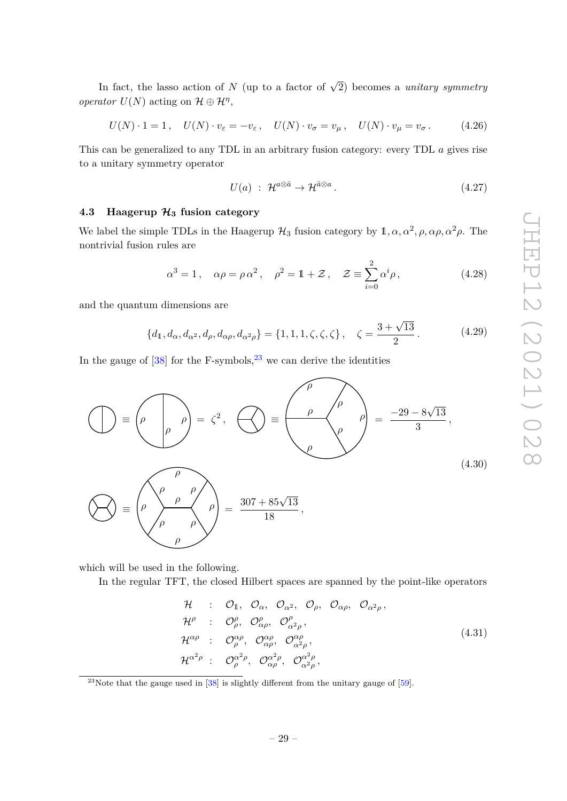In fact, the lasso action of *N* (up to a factor of  $\sqrt{2}$ ) becomes a *unitary symmetry operator*  $U(N)$  acting on  $\mathcal{H} \oplus \mathcal{H}^{\eta}$ ,

$$
U(N) \cdot 1 = 1, \quad U(N) \cdot v_{\varepsilon} = -v_{\varepsilon}, \quad U(N) \cdot v_{\sigma} = v_{\mu}, \quad U(N) \cdot v_{\mu} = v_{\sigma}.
$$
 (4.26)

This can be generalized to any TDL in an arbitrary fusion category: every TDL *a* gives rise to a unitary symmetry operator

$$
U(a) : \mathcal{H}^{a \otimes \bar{a}} \to \mathcal{H}^{\bar{a} \otimes a}.
$$
\n
$$
(4.27)
$$

## <span id="page-29-0"></span>**4.3 Haagerup H<sup>3</sup> fusion category**

We label the simple TDLs in the Haagerup  $H_3$  fusion category by  $1, \alpha, \alpha^2, \rho, \alpha\rho, \alpha^2\rho$ . The nontrivial fusion rules are

$$
\alpha^3 = 1, \quad \alpha \rho = \rho \alpha^2, \quad \rho^2 = 1 + \mathcal{Z}, \quad \mathcal{Z} \equiv \sum_{i=0}^2 \alpha^i \rho, \tag{4.28}
$$

and the quantum dimensions are

$$
\{d_1, d_{\alpha}, d_{\alpha^2}, d_{\rho}, d_{\alpha\rho}, d_{\alpha^2\rho}\} = \{1, 1, 1, \zeta, \zeta, \zeta\}, \quad \zeta = \frac{3 + \sqrt{13}}{2}.
$$
 (4.29)

In the gauge of  $[38]$  for the F-symbols,<sup>[23](#page-29-1)</sup> we can derive the identities

$$
\left(\bigcup_{\rho} \Phi = \left(\rho \left(\bigcap_{\rho} \rho\right) = \zeta^2, \bigotimes_{\rho} \Phi = \left(\bigotimes_{\rho} \left(\rho\right) \left(\bigotimes_{\rho} \rho\right)\right) = \frac{-29 - 8\sqrt{13}}{3},\right)
$$
\n
$$
\left(\bigotimes_{\rho} \Phi = \left(\rho \left(\bigotimes_{\rho} \rho\right) \left(\bigtriangleup\right) = \frac{307 + 85\sqrt{13}}{18},\right)
$$
\n(4.30)

which will be used in the following.

In the regular TFT, the closed Hilbert spaces are spanned by the point-like operators

$$
\mathcal{H} : \mathcal{O}_1, \mathcal{O}_\alpha, \mathcal{O}_{\alpha^2}, \mathcal{O}_\rho, \mathcal{O}_{\alpha\rho}, \mathcal{O}_{\alpha^2\rho}, \n\mathcal{H}^\rho : \mathcal{O}^\rho_\rho, \mathcal{O}^\rho_{\alpha\rho}, \mathcal{O}^\rho_{\alpha^2\rho}, \n\mathcal{H}^{\alpha\rho} : \mathcal{O}^{\alpha\rho}_\rho, \mathcal{O}^{\alpha\rho}_{\alpha\rho}, \mathcal{O}^{\alpha\rho}_{\alpha^2\rho}, \n\mathcal{H}^{\alpha^2\rho} : \mathcal{O}^{\alpha^2\rho}_\rho, \mathcal{O}^{\alpha^2\rho}_{\alpha\rho}, \mathcal{O}^{\alpha^2\rho}_{\alpha^2\rho},
$$
\n(4.31)

<span id="page-29-1"></span> $^{23}$ Note that the gauge used in [\[38\]](#page-41-2) is slightly different from the unitary gauge of [\[59\]](#page-42-2).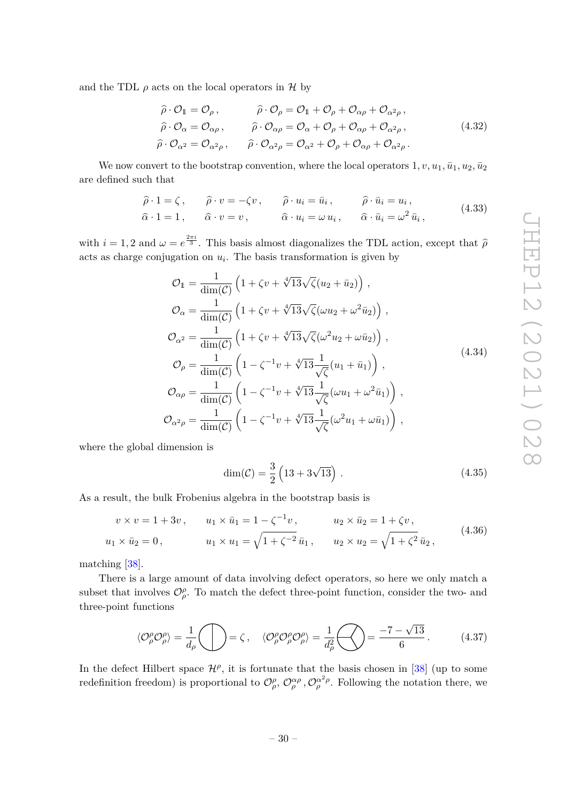and the TDL  $\rho$  acts on the local operators in  $\mathcal H$  by

$$
\hat{\rho} \cdot \mathcal{O}_1 = \mathcal{O}_{\rho}, \qquad \hat{\rho} \cdot \mathcal{O}_{\rho} = \mathcal{O}_1 + \mathcal{O}_{\rho} + \mathcal{O}_{\alpha \rho} + \mathcal{O}_{\alpha^2 \rho}, \n\hat{\rho} \cdot \mathcal{O}_{\alpha} = \mathcal{O}_{\alpha \rho}, \qquad \hat{\rho} \cdot \mathcal{O}_{\alpha \rho} = \mathcal{O}_{\alpha} + \mathcal{O}_{\rho} + \mathcal{O}_{\alpha \rho} + \mathcal{O}_{\alpha^2 \rho}, \n\hat{\rho} \cdot \mathcal{O}_{\alpha^2} = \mathcal{O}_{\alpha^2 \rho}, \qquad \hat{\rho} \cdot \mathcal{O}_{\alpha^2 \rho} = \mathcal{O}_{\alpha^2} + \mathcal{O}_{\rho} + \mathcal{O}_{\alpha \rho} + \mathcal{O}_{\alpha^2 \rho}.
$$
\n(4.32)

We now convert to the bootstrap convention, where the local operators  $1, v, u_1, \bar{u}_1, u_2, \bar{u}_2$ are defined such that

$$
\hat{\rho} \cdot 1 = \zeta, \qquad \hat{\rho} \cdot v = -\zeta v, \qquad \hat{\rho} \cdot u_i = \bar{u}_i, \qquad \hat{\rho} \cdot \bar{u}_i = u_i,
$$
  
\n
$$
\hat{\alpha} \cdot 1 = 1, \qquad \hat{\alpha} \cdot v = v, \qquad \hat{\alpha} \cdot u_i = \omega u_i, \qquad \hat{\alpha} \cdot \bar{u}_i = \omega^2 \bar{u}_i,
$$
\n(4.33)

with  $i = 1, 2$  and  $\omega = e^{\frac{2\pi i}{3}}$ . This basis almost diagonalizes the TDL action, except that  $\hat{\rho}$ acts as charge conjugation on  $u_i$ . The basis transformation is given by

$$
\mathcal{O}_{1} = \frac{1}{\dim(\mathcal{C})} \left( 1 + \zeta v + \sqrt[4]{13} \sqrt{\zeta} (u_{2} + \bar{u}_{2}) \right),
$$
  
\n
$$
\mathcal{O}_{\alpha} = \frac{1}{\dim(\mathcal{C})} \left( 1 + \zeta v + \sqrt[4]{13} \sqrt{\zeta} (\omega u_{2} + \omega^{2} \bar{u}_{2}) \right),
$$
  
\n
$$
\mathcal{O}_{\alpha^{2}} = \frac{1}{\dim(\mathcal{C})} \left( 1 + \zeta v + \sqrt[4]{13} \sqrt{\zeta} (\omega^{2} u_{2} + \omega \bar{u}_{2}) \right),
$$
  
\n
$$
\mathcal{O}_{\rho} = \frac{1}{\dim(\mathcal{C})} \left( 1 - \zeta^{-1} v + \sqrt[4]{13} \frac{1}{\sqrt{\zeta}} (u_{1} + \bar{u}_{1}) \right),
$$
  
\n
$$
\mathcal{O}_{\alpha \rho} = \frac{1}{\dim(\mathcal{C})} \left( 1 - \zeta^{-1} v + \sqrt[4]{13} \frac{1}{\sqrt{\zeta}} (\omega u_{1} + \omega^{2} \bar{u}_{1}) \right),
$$
  
\n
$$
\mathcal{O}_{\alpha^{2} \rho} = \frac{1}{\dim(\mathcal{C})} \left( 1 - \zeta^{-1} v + \sqrt[4]{13} \frac{1}{\sqrt{\zeta}} (\omega^{2} u_{1} + \omega \bar{u}_{1}) \right),
$$
  
\n(4.34)

where the global dimension is

$$
\dim(\mathcal{C}) = \frac{3}{2} \left( 13 + 3\sqrt{13} \right) . \tag{4.35}
$$

As a result, the bulk Frobenius algebra in the bootstrap basis is

$$
v \times v = 1 + 3v, \t u_1 \times \bar{u}_1 = 1 - \zeta^{-1} v, \t u_2 \times \bar{u}_2 = 1 + \zeta v, u_1 \times \bar{u}_2 = 0, \t u_1 \times u_1 = \sqrt{1 + \zeta^{-2}} \bar{u}_1, \t u_2 \times u_2 = \sqrt{1 + \zeta^2} \bar{u}_2,
$$
(4.36)

matching [\[38\]](#page-41-2).

There is a large amount of data involving defect operators, so here we only match a subset that involves  $\mathcal{O}_{\rho}^{\rho}$ . To match the defect three-point function, consider the two- and three-point functions

<span id="page-30-0"></span>
$$
\langle \mathcal{O}_{\rho}^{\rho} \mathcal{O}_{\rho}^{\rho} \rangle = \frac{1}{d_{\rho}} \bigcirc \mathcal{O}_{\rho}^{\rho} \bigcirc \mathcal{O}_{\rho}^{\rho} \mathcal{O}_{\rho}^{\rho} \mathcal{O}_{\rho}^{\rho} \rangle = \frac{1}{d_{\rho}^2} \bigcirc \mathcal{O}_{\rho}^{\rho} = \frac{-7 - \sqrt{13}}{6} \,. \tag{4.37}
$$

In the defect Hilbert space  $\mathcal{H}^{\rho}$ , it is fortunate that the basis chosen in [\[38\]](#page-41-2) (up to some redefinition freedom) is proportional to  $\mathcal{O}_{\rho}^{\rho}$ ,  $\mathcal{O}_{\rho}^{\alpha\rho}$ ,  $\mathcal{O}_{\rho}^{\alpha^2\rho}$ . Following the notation there, we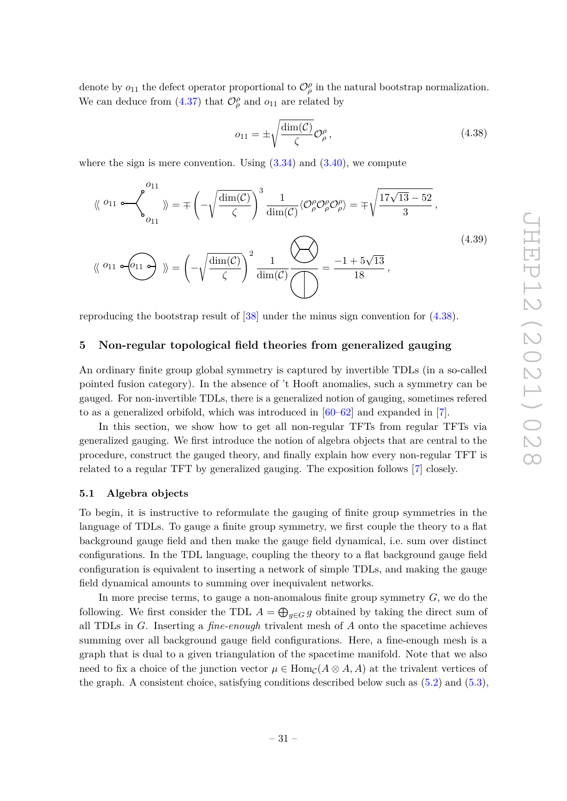denote by  $o_{11}$  the defect operator proportional to  $\mathcal{O}_{\rho}^{\rho}$  in the natural bootstrap normalization. We can deduce from  $(4.37)$  that  $\mathcal{O}_{\rho}^{\rho}$  and  $o_{11}$  are related by

<span id="page-31-2"></span>
$$
o_{11} = \pm \sqrt{\frac{\dim(\mathcal{C})}{\zeta}} \mathcal{O}_{\rho}^{\rho},\tag{4.38}
$$

where the sign is mere convention. Using  $(3.34)$  and  $(3.40)$ , we compute

$$
\langle \langle 0_{11} \circ \langle 0_{11} \rangle \rangle = \mp \left( -\sqrt{\frac{\dim(\mathcal{C})}{\zeta}} \right)^3 \frac{1}{\dim(\mathcal{C})} \langle 0_{\rho}^{\rho} \circ \rho_{\rho}^{\rho} \rangle = \mp \sqrt{\frac{17\sqrt{13} - 52}{3}},
$$
\n
$$
\langle \langle 0_{11} \circ \langle 0_{11} \circ \rangle \rangle \rangle = \left( -\sqrt{\frac{\dim(\mathcal{C})}{\zeta}} \right)^2 \frac{1}{\dim(\mathcal{C})} \frac{\sqrt{2}}{\sqrt{\zeta}} = \frac{-1 + 5\sqrt{13}}{18},
$$
\n(4.39)

reproducing the bootstrap result of [\[38\]](#page-41-2) under the minus sign convention for [\(4.38\)](#page-31-2).

## <span id="page-31-0"></span>**5 Non-regular topological field theories from generalized gauging**

An ordinary finite group global symmetry is captured by invertible TDLs (in a so-called pointed fusion category). In the absence of 't Hooft anomalies, such a symmetry can be gauged. For non-invertible TDLs, there is a generalized notion of gauging, sometimes refered to as a generalized orbifold, which was introduced in [\[60](#page-42-3)[–62\]](#page-42-4) and expanded in [\[7\]](#page-39-4).

In this section, we show how to get all non-regular TFTs from regular TFTs via generalized gauging. We first introduce the notion of algebra objects that are central to the procedure, construct the gauged theory, and finally explain how every non-regular TFT is related to a regular TFT by generalized gauging. The exposition follows [\[7\]](#page-39-4) closely.

#### <span id="page-31-1"></span>**5.1 Algebra objects**

To begin, it is instructive to reformulate the gauging of finite group symmetries in the language of TDLs. To gauge a finite group symmetry, we first couple the theory to a flat background gauge field and then make the gauge field dynamical, i.e. sum over distinct configurations. In the TDL language, coupling the theory to a flat background gauge field configuration is equivalent to inserting a network of simple TDLs, and making the gauge field dynamical amounts to summing over inequivalent networks.

In more precise terms, to gauge a non-anomalous finite group symmetry *G*, we do the following. We first consider the TDL  $A = \bigoplus_{g \in G} g$  obtained by taking the direct sum of all TDLs in *G*. Inserting a *fine-enough* trivalent mesh of *A* onto the spacetime achieves summing over all background gauge field configurations. Here, a fine-enough mesh is a graph that is dual to a given triangulation of the spacetime manifold. Note that we also need to fix a choice of the junction vector  $\mu \in \text{Hom}_{\mathcal{C}}(A \otimes A, A)$  at the trivalent vertices of the graph. A consistent choice, satisfying conditions described below such as  $(5.2)$  and  $(5.3)$ ,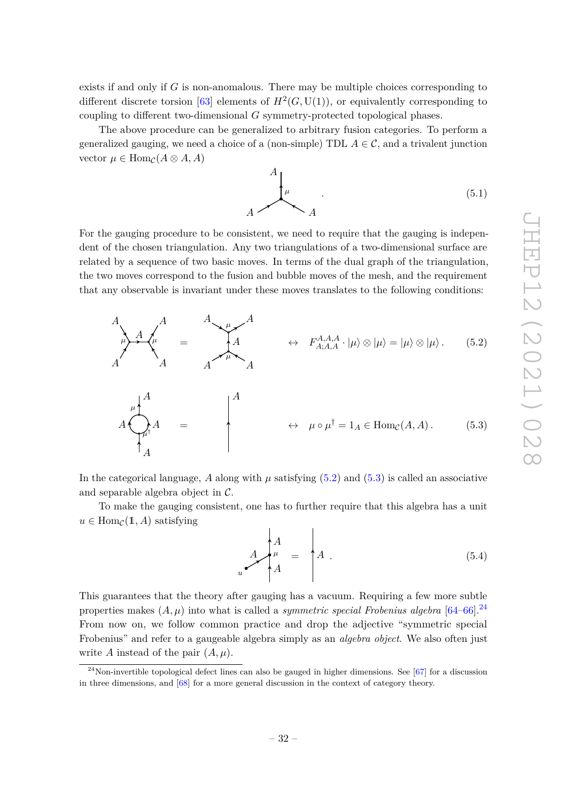exists if and only if *G* is non-anomalous. There may be multiple choices corresponding to different discrete torsion [\[63\]](#page-42-5) elements of  $H^2(G, U(1))$ , or equivalently corresponding to coupling to different two-dimensional *G* symmetry-protected topological phases.

The above procedure can be generalized to arbitrary fusion categories. To perform a generalized gauging, we need a choice of a (non-simple) TDL  $A \in \mathcal{C}$ , and a trivalent junction vector  $\mu \in \text{Hom}_{\mathcal{C}}(A \otimes A, A)$ 

> <span id="page-32-0"></span>*A*  $A \sim A$  $\mu$  (5.1)

For the gauging procedure to be consistent, we need to require that the gauging is independent of the chosen triangulation. Any two triangulations of a two-dimensional surface are related by a sequence of two basic moves. In terms of the dual graph of the triangulation, the two moves correspond to the fusion and bubble moves of the mesh, and the requirement that any observable is invariant under these moves translates to the following conditions:



$$
A \bigotimes_{A}^{n} A = \qquad \qquad A
$$
\n
$$
\downarrow A
$$
\n
$$
\downarrow A
$$
\n
$$
\downarrow A
$$
\n
$$
\downarrow B
$$
\n
$$
\downarrow B
$$
\n
$$
\downarrow B
$$
\n
$$
\downarrow B
$$
\n
$$
\downarrow B
$$
\n
$$
\downarrow B
$$
\n
$$
\downarrow B
$$
\n
$$
\downarrow B
$$
\n
$$
\downarrow B
$$
\n
$$
\downarrow B
$$
\n
$$
\downarrow B
$$
\n
$$
\downarrow B
$$
\n
$$
\downarrow B
$$
\n
$$
\downarrow B
$$
\n
$$
\downarrow B
$$
\n
$$
\downarrow B
$$
\n
$$
\downarrow B
$$
\n
$$
\downarrow B
$$
\n
$$
\downarrow B
$$
\n
$$
\downarrow B
$$
\n
$$
\downarrow B
$$
\n
$$
\downarrow B
$$
\n
$$
\downarrow B
$$
\n
$$
\downarrow B
$$
\n
$$
\downarrow B
$$
\n
$$
\downarrow B
$$
\n
$$
\downarrow B
$$
\n
$$
\downarrow B
$$
\n
$$
\downarrow B
$$
\n
$$
\downarrow B
$$
\n
$$
\downarrow B
$$
\n
$$
\downarrow B
$$
\n
$$
\downarrow B
$$
\n
$$
\downarrow B
$$
\n
$$
\downarrow B
$$
\n
$$
\downarrow B
$$
\n
$$
\downarrow B
$$
\n
$$
\downarrow B
$$
\n
$$
\downarrow B
$$
\n
$$
\downarrow B
$$
\n
$$
\downarrow B
$$
\n
$$
\downarrow B
$$
\n
$$
\downarrow B
$$
\n
$$
\downarrow B
$$
\n
$$
\downarrow B
$$
\n
$$
\downarrow B
$$
\n
$$
\downarrow B
$$
\n
$$
\downarrow B
$$
\n
$$
\downarrow B
$$
\n
$$
\downarrow B
$$
\n
$$
\downarrow B
$$
\n
$$
\downarrow B
$$
\n
$$
\downarrow B
$$
\n
$$
\down
$$

In the categorical language,  $A$  along with  $\mu$  satisfying [\(5.2\)](#page-32-0) and [\(5.3\)](#page-32-1) is called an associative and separable algebra object in C.

To make the gauging consistent, one has to further require that this algebra has a unit  $u \in \text{Hom}_{\mathcal{C}}(\mathbb{1}, A)$  satisfying

<span id="page-32-1"></span>
$$
A \downarrow^A \downarrow^A
$$
\n
$$
A = \uparrow^A A
$$
\n(5.4)

This guarantees that the theory after gauging has a vacuum. Requiring a few more subtle properties makes  $(A, \mu)$  into what is called a *symmetric special Frobenius algebra* [\[64](#page-42-6)[–66\]](#page-42-7).<sup>[24](#page-32-2)</sup> From now on, we follow common practice and drop the adjective "symmetric special Frobenius" and refer to a gaugeable algebra simply as an *algebra object*. We also often just write *A* instead of the pair (*A, µ*).

<span id="page-32-2"></span> $^{24}$ Non-invertible topological defect lines can also be gauged in higher dimensions. See [\[67\]](#page-42-8) for a discussion in three dimensions, and [\[68\]](#page-42-9) for a more general discussion in the context of category theory.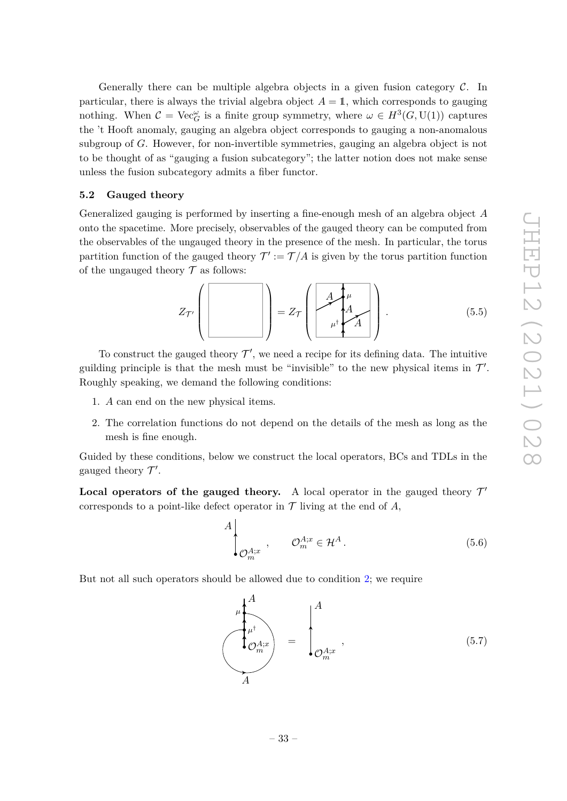Generally there can be multiple algebra objects in a given fusion category  $\mathcal{C}$ . In particular, there is always the trivial algebra object  $A = 1$ , which corresponds to gauging nothing. When  $C = \text{Vec}_G^{\omega}$  is a finite group symmetry, where  $\omega \in H^3(G, \text{U}(1))$  captures the 't Hooft anomaly, gauging an algebra object corresponds to gauging a non-anomalous subgroup of *G*. However, for non-invertible symmetries, gauging an algebra object is not to be thought of as "gauging a fusion subcategory"; the latter notion does not make sense unless the fusion subcategory admits a fiber functor.

#### <span id="page-33-0"></span>**5.2 Gauged theory**

Generalized gauging is performed by inserting a fine-enough mesh of an algebra object *A* onto the spacetime. More precisely, observables of the gauged theory can be computed from the observables of the ungauged theory in the presence of the mesh. In particular, the torus partition function of the gauged theory  $\mathcal{T}' := \mathcal{T}/A$  is given by the torus partition function of the ungauged theory  $\mathcal T$  as follows:

$$
Z_{\mathcal{T}'}\left(\begin{bmatrix} \cdot & \cdot & \cdot \\ \cdot & \cdot & \cdot \\ \cdot & \cdot & \cdot \\ \cdot & \cdot & \cdot \end{bmatrix}\right) = Z_{\mathcal{T}}\left(\begin{bmatrix} A & \mu & \cdot & \cdot \\ \cdot & A & \cdot & \cdot \\ \cdot & \mu^{\dagger} & A & \cdot \\ \cdot & \cdot & \cdot & \cdot \end{bmatrix}\right).
$$
(5.5)

To construct the gauged theory  $\mathcal{T}'$ , we need a recipe for its defining data. The intuitive guilding principle is that the mesh must be "invisible" to the new physical items in  $\mathcal{T}'$ . Roughly speaking, we demand the following conditions:

- <span id="page-33-3"></span>1. *A* can end on the new physical items.
- <span id="page-33-1"></span>2. The correlation functions do not depend on the details of the mesh as long as the mesh is fine enough.

Guided by these conditions, below we construct the local operators, BCs and TDLs in the gauged theory  $\mathcal{T}'$ .

**Local operators of the gauged theory.** A local operator in the gauged theory  $\mathcal{T}'$ corresponds to a point-like defect operator in  $\mathcal T$  living at the end of  $A$ ,

$$
A\Bigg\downarrow_{\mathcal{O}_{m}^{A;x}}, \qquad \mathcal{O}_{m}^{A;x} \in \mathcal{H}^{A}. \tag{5.6}
$$

But not all such operators should be allowed due to condition [2;](#page-33-1) we require

<span id="page-33-2"></span>
$$
\begin{pmatrix}\n\mu^{\dagger} \\
\mu^{\dagger} \\
\sigma_m^{\dagger} \\
A\n\end{pmatrix} = \begin{pmatrix}\nA \\
\vdots \\
\sigma_m^{\dagger} \\
\vdots\n\end{pmatrix},
$$
\n(5.7)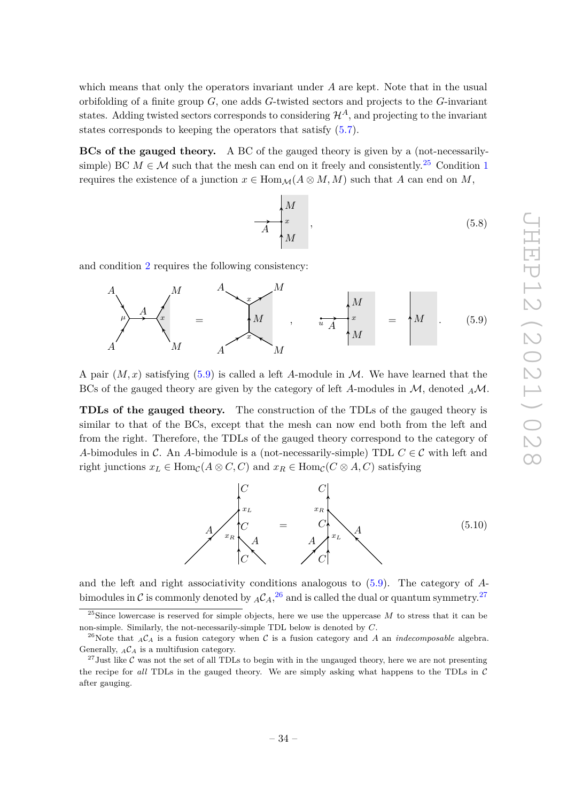which means that only the operators invariant under *A* are kept. Note that in the usual orbifolding of a finite group *G*, one adds *G*-twisted sectors and projects to the *G*-invariant states. Adding twisted sectors corresponds to considering  $\mathcal{H}^A$ , and projecting to the invariant states corresponds to keeping the operators that satisfy  $(5.7)$ .

**BCs of the gauged theory.** A BC of the gauged theory is given by a (not-necessarilysimple) BC  $M \in \mathcal{M}$  such that the mesh can end on it freely and consistently.<sup>[25](#page-34-0)</sup> Condition [1](#page-33-3) requires the existence of a junction  $x \in Hom_{\mathcal{M}}(A \otimes M, M)$  such that *A* can end on *M*,

$$
\overrightarrow{A} \begin{bmatrix} M \\ x \\ M \end{bmatrix}, \qquad (5.8)
$$

and condition [2](#page-33-1) requires the following consistency:

<span id="page-34-1"></span>
$$
A\begin{pmatrix} M & A \\ M & A \end{pmatrix} = M \begin{pmatrix} M & M \\ M & M \end{pmatrix} = M \begin{pmatrix} M & M \\ M & M \end{pmatrix} \qquad (5.9)
$$

A pair  $(M, x)$  satisfying  $(5.9)$  is called a left A-module in M. We have learned that the BCs of the gauged theory are given by the category of left *A*-modules in M, denoted *<sup>A</sup>*M.

**TDLs of the gauged theory.** The construction of the TDLs of the gauged theory is similar to that of the BCs, except that the mesh can now end both from the left and from the right. Therefore, the TDLs of the gauged theory correspond to the category of *A*-bimodules in C. An *A*-bimodule is a (not-necessarily-simple) TDL  $C \in \mathcal{C}$  with left and right junctions  $x_L \in \text{Hom}_{\mathcal{C}}(A \otimes C, C)$  and  $x_R \in \text{Hom}_{\mathcal{C}}(C \otimes A, C)$  satisfying



and the left and right associativity conditions analogous to [\(5.9\)](#page-34-1). The category of *A*bimodules in  $\cal C$  is commonly denoted by  ${_A \cal C}_A,^{26}$  ${_A \cal C}_A,^{26}$  ${_A \cal C}_A,^{26}$  and is called the dual or quantum symmetry.<sup>[27](#page-34-3)</sup>

<span id="page-34-0"></span><sup>&</sup>lt;sup>25</sup>Since lowercase is reserved for simple objects, here we use the uppercase  $M$  to stress that it can be non-simple. Similarly, the not-necessarily-simple TDL below is denoted by *C*.

<span id="page-34-2"></span><sup>&</sup>lt;sup>26</sup>Note that  $_A\mathcal{C}_A$  is a fusion category when  $\mathcal C$  is a fusion category and  $A$  an *indecomposable* algebra. Generally,  ${}_{A}\mathcal{C}_{A}$  is a multifusion category.

<span id="page-34-3"></span><sup>&</sup>lt;sup>27</sup> Just like C was not the set of all TDLs to begin with in the ungauged theory, here we are not presenting the recipe for *all* TDLs in the gauged theory. We are simply asking what happens to the TDLs in C after gauging.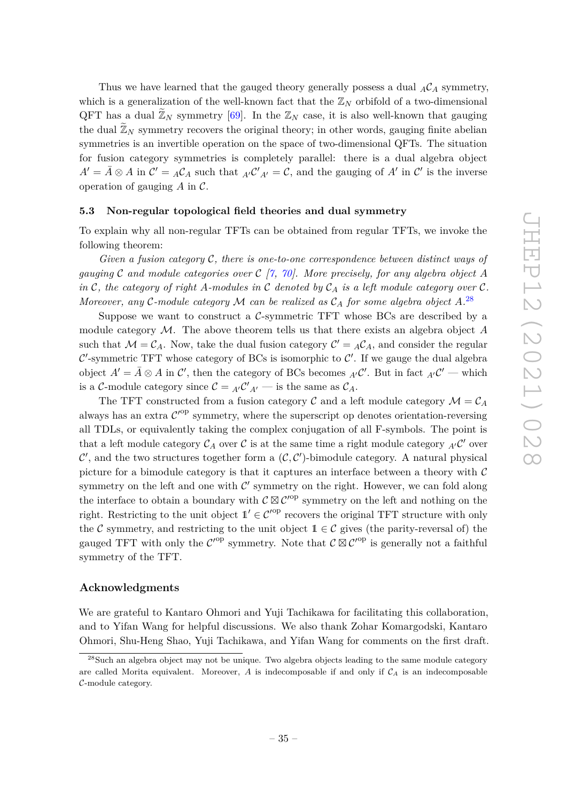Thus we have learned that the gauged theory generally possess a dual  $_A C_A$  symmetry, which is a generalization of the well-known fact that the  $\mathbb{Z}_N$  orbifold of a two-dimensional QFT has a dual  $\mathbb{Z}_N$  symmetry [\[69\]](#page-42-10). In the  $\mathbb{Z}_N$  case, it is also well-known that gauging the dual  $\mathbb{Z}_N$  symmetry recovers the original theory; in other words, gauging finite abelian symmetries is an invertible operation on the space of two-dimensional QFTs. The situation for fusion category symmetries is completely parallel: there is a dual algebra object  $A' = \overline{A} \otimes A$  in  $C' = {}_{A}C_{A}$  such that  ${}_{A'}C'{}_{A'} = C$ , and the gauging of  $A'$  in  $C'$  is the inverse operation of gauging *A* in C.

#### <span id="page-35-0"></span>**5.3 Non-regular topological field theories and dual symmetry**

To explain why all non-regular TFTs can be obtained from regular TFTs, we invoke the following theorem:

*Given a fusion category* C*, there is one-to-one correspondence between distinct ways of gauging* C *and module categories over* C *[\[7,](#page-39-4) [70\]](#page-42-11). More precisely, for any algebra object A in* C, the category of right A-modules in C denoted by  $C_A$  *is a left module category over* C. *Moreover, any* C*-module category* M *can be realized as* C*<sup>A</sup> for some algebra object A.* [28](#page-35-1)

Suppose we want to construct a  $C$ -symmetric TFT whose BCs are described by a module category M. The above theorem tells us that there exists an algebra object *A* such that  $\mathcal{M} = \mathcal{C}_A$ . Now, take the dual fusion category  $\mathcal{C}' = {}_A\mathcal{C}_A$ , and consider the regular C'-symmetric TFT whose category of BCs is isomorphic to  $\mathcal{C}'$ . If we gauge the dual algebra object  $A' = \overline{A} \otimes A$  in  $\mathcal{C}'$ , then the category of BCs becomes  ${}_{A'}\mathcal{C}'$ . But in fact  ${}_{A'}\mathcal{C}'$  — which is a C-module category since  $C = {}_{A'}C'_{A'}$  — is the same as  $C_A$ .

The TFT constructed from a fusion category  $\mathcal{C}$  and a left module category  $\mathcal{M} = \mathcal{C}_A$ always has an extra  $\mathcal{C}'^{op}$  symmetry, where the superscript op denotes orientation-reversing all TDLs, or equivalently taking the complex conjugation of all F-symbols. The point is that a left module category  $\mathcal{C}_A$  over  $\mathcal C$  is at the same time a right module category  ${}_{A'}\mathcal{C}'$  over  $\mathcal{C}'$ , and the two structures together form a  $(\mathcal{C}, \mathcal{C}')$ -bimodule category. A natural physical picture for a bimodule category is that it captures an interface between a theory with  $\mathcal C$ symmetry on the left and one with  $\mathcal{C}'$  symmetry on the right. However, we can fold along the interface to obtain a boundary with  $C \boxtimes C'^{\text{op}}$  symmetry on the left and nothing on the right. Restricting to the unit object  $\mathbb{1}' \in \mathcal{C}'^{\text{op}}$  recovers the original TFT structure with only the C symmetry, and restricting to the unit object  $1 \in \mathcal{C}$  gives (the parity-reversal of) the gauged TFT with only the  $\mathcal{C}'^{\text{op}}$  symmetry. Note that  $\mathcal{C} \boxtimes \mathcal{C}'^{\text{op}}$  is generally not a faithful symmetry of the TFT.

## **Acknowledgments**

We are grateful to Kantaro Ohmori and Yuji Tachikawa for facilitating this collaboration, and to Yifan Wang for helpful discussions. We also thank Zohar Komargodski, Kantaro Ohmori, Shu-Heng Shao, Yuji Tachikawa, and Yifan Wang for comments on the first draft.

<span id="page-35-1"></span><sup>&</sup>lt;sup>28</sup>Such an algebra object may not be unique. Two algebra objects leading to the same module category are called Morita equivalent. Moreover,  $A$  is indecomposable if and only if  $C_A$  is an indecomposable C-module category.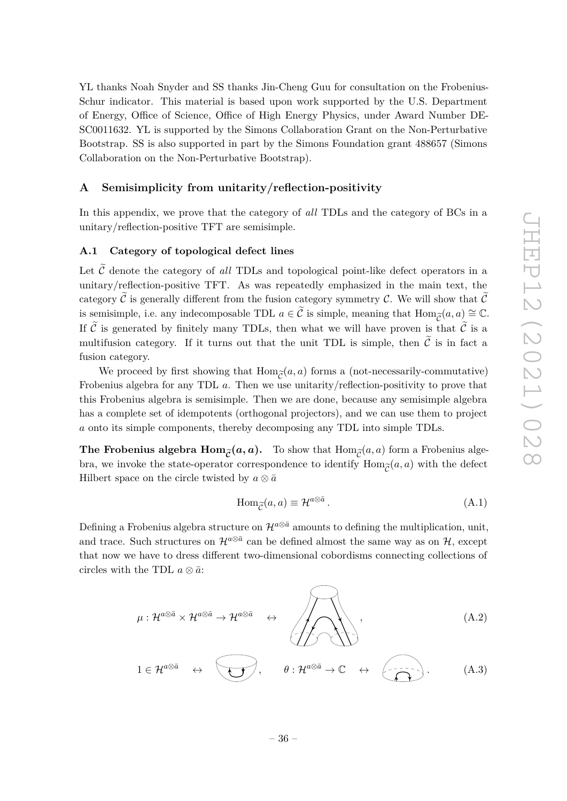YL thanks Noah Snyder and SS thanks Jin-Cheng Guu for consultation on the Frobenius-Schur indicator. This material is based upon work supported by the U.S. Department of Energy, Office of Science, Office of High Energy Physics, under Award Number DE-SC0011632. YL is supported by the Simons Collaboration Grant on the Non-Perturbative Bootstrap. SS is also supported in part by the Simons Foundation grant 488657 (Simons Collaboration on the Non-Perturbative Bootstrap).

## <span id="page-36-0"></span>**A Semisimplicity from unitarity/reflection-positivity**

In this appendix, we prove that the category of *all* TDLs and the category of BCs in a unitary/reflection-positive TFT are semisimple.

## <span id="page-36-1"></span>**A.1 Category of topological defect lines**

Let  $\tilde{\mathcal{C}}$  denote the category of *all* TDLs and topological point-like defect operators in a unitary/reflection-positive TFT. As was repeatedly emphasized in the main text, the category  $\tilde{\mathcal{C}}$  is generally different from the fusion category symmetry C. We will show that  $\tilde{\mathcal{C}}$ is semisimple, i.e. any indecomposable TDL  $a \in \tilde{C}$  is simple, meaning that  $\text{Hom}_{\tilde{C}}(a, a) \cong \mathbb{C}$ .<br>If  $\tilde{C}$  is separated by finitely many TDLs, then what we will have proven is that  $\tilde{C}$  is a If  $\tilde{C}$  is generated by finitely many TDLs, then what we will have proven is that  $\tilde{C}$  is a multifusion category. If it turns out that the unit TDL is simple, then  $\tilde{C}$  is in fact a fusion category.

We proceed by first showing that  $\text{Hom}_{\widetilde{\mathcal{C}}}(a, a)$  forms a (not-necessarily-commutative)<br>enjus algebra for any TDL  $a$ . Then we use unitarity/reflection-positivity to prove that Frobenius algebra for any TDL *a*. Then we use unitarity/reflection-positivity to prove that this Frobenius algebra is semisimple. Then we are done, because any semisimple algebra has a complete set of idempotents (orthogonal projectors), and we can use them to project *a* onto its simple components, thereby decomposing any TDL into simple TDLs.

**The Frobenius algebra**  $\text{Hom}_{\tilde{C}}(a, a)$ **.** To show that  $\text{Hom}_{\tilde{C}}(a, a)$  form a Frobenius algebra we invoke the state-operator correspondence to identify  $\text{Hom}_{\tilde{C}}(a, a)$  with the defect bra, we invoke the state-operator correspondence to identify  $\text{Hom}_{\widetilde{\mathcal{C}}}(a, a)$  with the defect<br>Hilbert space on the circle twisted by  $a \otimes \overline{a}$ Hilbert space on the circle twisted by  $a \otimes \bar{a}$ 

$$
\operatorname{Hom}_{\widetilde{\mathcal{C}}}(a,a) \equiv \mathcal{H}^{a \otimes \bar{a}}\,. \tag{A.1}
$$

Defining a Frobenius algebra structure on  $\mathcal{H}^{a\otimes \bar{a}}$  amounts to defining the multiplication, unit, and trace. Such structures on  $\mathcal{H}^{a\otimes \bar{a}}$  can be defined almost the same way as on  $\mathcal{H}$ , except that now we have to dress different two-dimensional cobordisms connecting collections of circles with the TDL  $a \otimes \overline{a}$ :

$$
\mu: \mathcal{H}^{a \otimes \bar{a}} \times \mathcal{H}^{a \otimes \bar{a}} \to \mathcal{H}^{a \otimes \bar{a}} \quad \leftrightarrow \quad \overbrace{\left\langle \biguparrow \right\rangle \left\langle \biguparrow \right\rangle}^{a}, \quad (A.2)
$$
\n
$$
1 \in \mathcal{H}^{a \otimes \bar{a}} \quad \leftrightarrow \quad \overbrace{\left\langle \biguparrow \right\rangle}^{a}, \quad \theta: \mathcal{H}^{a \otimes \bar{a}} \to \mathbb{C} \quad \leftrightarrow \quad \overbrace{\left\langle \biguparrow \right\rangle}^{a}, \quad (A.3)
$$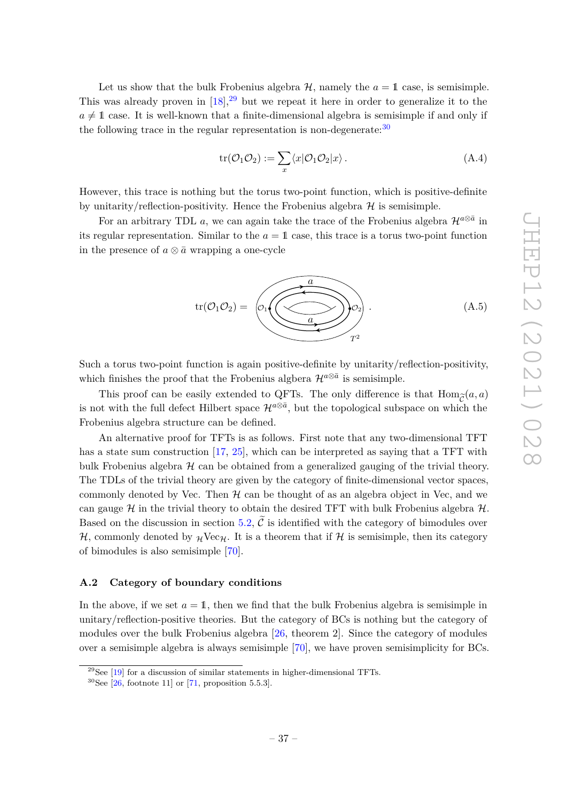Let us show that the bulk Frobenius algebra  $H$ , namely the  $a = 1$  case, is semisimple. This was already proven in  $[18]$ ,<sup>[29](#page-37-1)</sup> but we repeat it here in order to generalize it to the  $a \neq 1$  case. It is well-known that a finite-dimensional algebra is semisimple if and only if the following trace in the regular representation is non-degenerate: $30$ 

$$
\operatorname{tr}(\mathcal{O}_1 \mathcal{O}_2) := \sum_x \langle x | \mathcal{O}_1 \mathcal{O}_2 | x \rangle. \tag{A.4}
$$

However, this trace is nothing but the torus two-point function, which is positive-definite by unitarity/reflection-positivity. Hence the Frobenius algebra  $\mathcal H$  is semisimple.

For an arbitrary TDL *a*, we can again take the trace of the Frobenius algebra  $\mathcal{H}^{a\otimes \bar{a}}$  in its regular representation. Similar to the  $a = 1$  case, this trace is a torus two-point function in the presence of  $a \otimes \overline{a}$  wrapping a one-cycle



Such a torus two-point function is again positive-definite by unitarity/reflection-positivity, which finishes the proof that the Frobenius algbera  $\mathcal{H}^{a\otimes \bar{a}}$  is semisimple.

This proof can be easily extended to QFTs. The only difference is that  $\text{Hom}_{\widetilde{\mathcal{C}}}(a, a)$ <br>of with the full defect Hilbert space  $\mathcal{H}^{a \otimes \bar{a}}$  but the topological subspace on which the is not with the full defect Hilbert space  $\mathcal{H}^{a\otimes \bar{a}}$ , but the topological subspace on which the Frobenius algebra structure can be defined.

An alternative proof for TFTs is as follows. First note that any two-dimensional TFT has a state sum construction [\[17,](#page-40-10) [25\]](#page-40-11), which can be interpreted as saying that a TFT with bulk Frobenius algebra  $H$  can be obtained from a generalized gauging of the trivial theory. The TDLs of the trivial theory are given by the category of finite-dimensional vector spaces, commonly denoted by Vec. Then  $H$  can be thought of as an algebra object in Vec, and we can gauge H in the trivial theory to obtain the desired TFT with bulk Frobenius algebra  $H$ . Based on the discussion in section [5.2,](#page-33-0)  $\mathcal{C}$  is identified with the category of bimodules over  $H$ , commonly denoted by  $\mathcal{H}$ Vec $\mathcal{H}$ . It is a theorem that if H is semisimple, then its category of bimodules is also semisimple [\[70\]](#page-42-11).

## <span id="page-37-0"></span>**A.2 Category of boundary conditions**

In the above, if we set  $a = 1$ , then we find that the bulk Frobenius algebra is semisimple in unitary/reflection-positive theories. But the category of BCs is nothing but the category of modules over the bulk Frobenius algebra [\[26,](#page-40-6) theorem 2]. Since the category of modules over a semisimple algebra is always semisimple [\[70\]](#page-42-11), we have proven semisimplicity for BCs.

<span id="page-37-1"></span> $^{29}$ See [\[19\]](#page-40-7) for a discussion of similar statements in higher-dimensional TFTs.

<span id="page-37-2"></span><sup>&</sup>lt;sup>30</sup>See [\[26,](#page-40-6) footnote 11] or [\[71,](#page-42-12) proposition 5.5.3].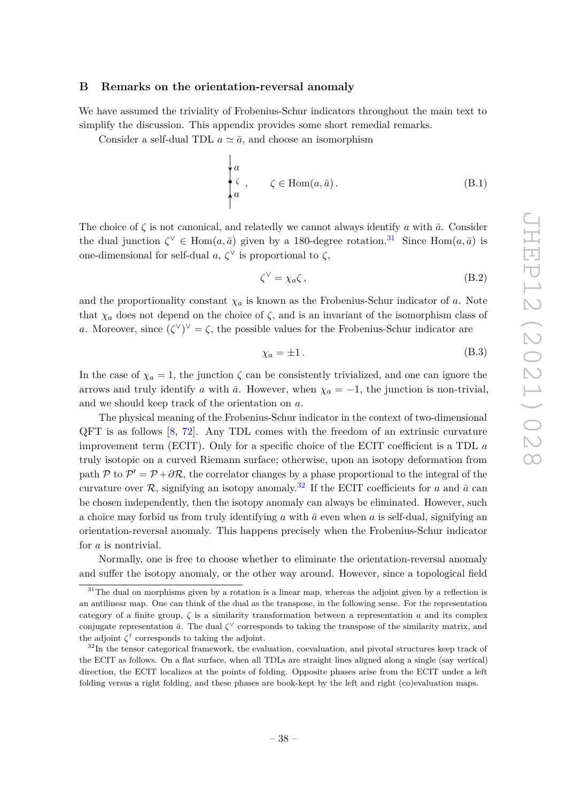#### <span id="page-38-0"></span>**B Remarks on the orientation-reversal anomaly**

We have assumed the triviality of Frobenius-Schur indicators throughout the main text to simplify the discussion. This appendix provides some short remedial remarks.

Consider a self-dual TDL  $a \simeq \bar{a}$ , and choose an isomorphism

$$
\begin{cases}\na \\
\zeta, & \zeta \in \text{Hom}(a, \bar{a}).\n\end{cases}
$$
\n(B.1)

The choice of  $\zeta$  is not canonical, and relatedly we cannot always identify *a* with  $\bar{a}$ . Consider the dual junction  $\zeta^{\vee} \in \text{Hom}(a, \bar{a})$  given by a 180-degree rotation.<sup>[31](#page-38-1)</sup> Since Hom $(a, \bar{a})$  is one-dimensional for self-dual *a*,  $ζ<sup>∨</sup>$  is proportional to  $ζ$ ,

$$
\zeta^{\vee} = \chi_a \zeta \,, \tag{B.2}
$$

and the proportionality constant  $\chi_a$  is known as the Frobenius-Schur indicator of *a*. Note that  $\chi_a$  does not depend on the choice of  $\zeta$ , and is an invariant of the isomorphism class of *a*. Moreover, since  $({\zeta}^{\vee})^{\vee} = {\zeta}$ , the possible values for the Frobenius-Schur indicator are

$$
\chi_a = \pm 1. \tag{B.3}
$$

In the case of  $\chi_a = 1$ , the junction  $\zeta$  can be consistently trivialized, and one can ignore the arrows and truly identify *a* with  $\bar{a}$ . However, when  $\chi_a = -1$ , the junction is non-trivial, and we should keep track of the orientation on *a*.

The physical meaning of the Frobenius-Schur indicator in the context of two-dimensional QFT is as follows [\[8,](#page-39-3) [72\]](#page-42-13). Any TDL comes with the freedom of an extrinsic curvature improvement term (ECIT). Only for a specific choice of the ECIT coefficient is a TDL *a* truly isotopic on a curved Riemann surface; otherwise, upon an isotopy deformation from path P to  $\mathcal{P}' = \mathcal{P} + \partial \mathcal{R}$ , the correlator changes by a phase proportional to the integral of the curvature over R, signifying an isotopy anomaly.<sup>[32](#page-38-2)</sup> If the ECIT coefficients for a and  $\bar{a}$  can be chosen independently, then the isotopy anomaly can always be eliminated. However, such a choice may forbid us from truly identifying *a* with  $\bar{a}$  even when *a* is self-dual, signifying an orientation-reversal anomaly. This happens precisely when the Frobenius-Schur indicator for *a* is nontrivial.

Normally, one is free to choose whether to eliminate the orientation-reversal anomaly and suffer the isotopy anomaly, or the other way around. However, since a topological field

<span id="page-38-1"></span> $31$ The dual on morphisms given by a rotation is a linear map, whereas the adjoint given by a reflection is an antilinear map. One can think of the dual as the transpose, in the following sense. For the representation category of a finite group,  $\zeta$  is a similarity transformation between a representation  $a$  and its complex conjugate representation  $\bar{a}$ . The dual  $\zeta^{\vee}$  corresponds to taking the transpose of the similarity matrix, and the adjoint  $\zeta^{\dagger}$  corresponds to taking the adjoint.

<span id="page-38-2"></span><sup>&</sup>lt;sup>32</sup>In the tensor categorical framework, the evaluation, coevaluation, and pivotal structures keep track of the ECIT as follows. On a flat surface, when all TDLs are straight lines aligned along a single (say vertical) direction, the ECIT localizes at the points of folding. Opposite phases arise from the ECIT under a left folding versus a right folding, and these phases are book-kept by the left and right (co)evaluation maps.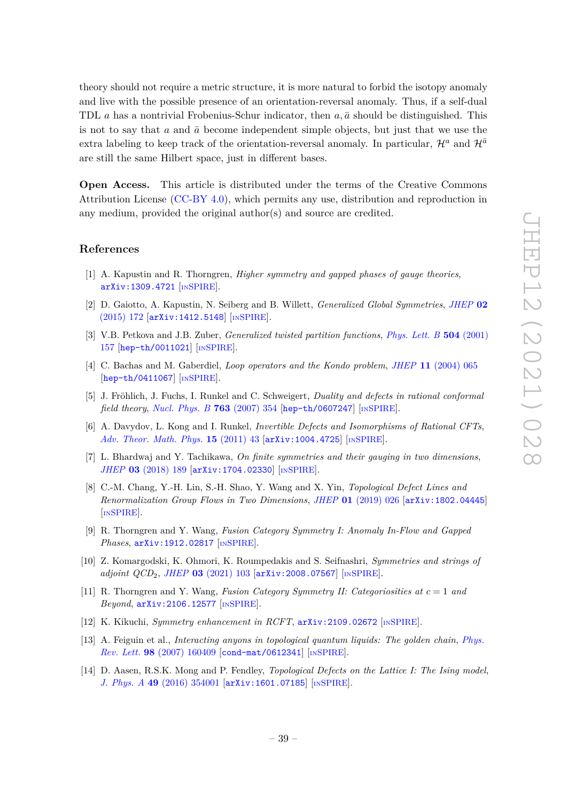theory should not require a metric structure, it is more natural to forbid the isotopy anomaly and live with the possible presence of an orientation-reversal anomaly. Thus, if a self-dual TDL *a* has a nontrivial Frobenius-Schur indicator, then  $a, \bar{a}$  should be distinguished. This is not to say that  $a$  and  $\bar{a}$  become independent simple objects, but just that we use the extra labeling to keep track of the orientation-reversal anomaly. In particular,  $\mathcal{H}^a$  and  $\mathcal{H}^{\bar{a}}$ are still the same Hilbert space, just in different bases.

**Open Access.** This article is distributed under the terms of the Creative Commons Attribution License [\(CC-BY 4.0\)](https://creativecommons.org/licenses/by/4.0/), which permits any use, distribution and reproduction in any medium, provided the original author(s) and source are credited.

## **References**

- <span id="page-39-0"></span>[1] A. Kapustin and R. Thorngren, *Higher symmetry and gapped phases of gauge theories*, [arXiv:1309.4721](https://arxiv.org/abs/1309.4721) [IN[SPIRE](https://inspirehep.net/search?p=find+EPRINT%2BarXiv%3A1309.4721)].
- <span id="page-39-1"></span>[2] D. Gaiotto, A. Kapustin, N. Seiberg and B. Willett, *Generalized Global Symmetries*, *[JHEP](https://doi.org/10.1007/JHEP02(2015)172)* **02** [\(2015\) 172](https://doi.org/10.1007/JHEP02(2015)172) [[arXiv:1412.5148](https://arxiv.org/abs/1412.5148)] [IN[SPIRE](https://inspirehep.net/search?p=find+EPRINT%2BarXiv%3A1412.5148)].
- <span id="page-39-2"></span>[3] V.B. Petkova and J.B. Zuber, *Generalized twisted partition functions*, *[Phys. Lett. B](https://doi.org/10.1016/S0370-2693(01)00276-3)* **504** (2001) [157](https://doi.org/10.1016/S0370-2693(01)00276-3) [[hep-th/0011021](https://arxiv.org/abs/hep-th/0011021)] [IN[SPIRE](https://inspirehep.net/search?p=find+EPRINT%2Bhep-th%2F0011021)].
- [4] C. Bachas and M. Gaberdiel, *Loop operators and the Kondo problem*, *JHEP* **11** [\(2004\) 065](https://doi.org/10.1088/1126-6708/2004/11/065) [[hep-th/0411067](https://arxiv.org/abs/hep-th/0411067)] [IN[SPIRE](https://inspirehep.net/search?p=find+EPRINT%2Bhep-th%2F0411067)].
- <span id="page-39-10"></span>[5] J. Fröhlich, J. Fuchs, I. Runkel and C. Schweigert, *Duality and defects in rational conformal field theory*, *[Nucl. Phys. B](https://doi.org/10.1016/j.nuclphysb.2006.11.017)* **763** (2007) 354 [[hep-th/0607247](https://arxiv.org/abs/hep-th/0607247)] [IN[SPIRE](https://inspirehep.net/search?p=find+EPRINT%2Bhep-th%2F0607247)].
- [6] A. Davydov, L. Kong and I. Runkel, *Invertible Defects and Isomorphisms of Rational CFTs*, *[Adv. Theor. Math. Phys.](https://doi.org/10.4310/ATMP.2011.v15.n1.a2)* **15** (2011) 43 [[arXiv:1004.4725](https://arxiv.org/abs/1004.4725)] [IN[SPIRE](https://inspirehep.net/search?p=find+EPRINT%2BarXiv%3A1004.4725)].
- <span id="page-39-4"></span>[7] L. Bhardwaj and Y. Tachikawa, *On finite symmetries and their gauging in two dimensions*, *JHEP* **03** [\(2018\) 189](https://doi.org/10.1007/JHEP03(2018)189) [[arXiv:1704.02330](https://arxiv.org/abs/1704.02330)] [IN[SPIRE](https://inspirehep.net/search?p=find+EPRINT%2BarXiv%3A1704.02330)].
- <span id="page-39-3"></span>[8] C.-M. Chang, Y.-H. Lin, S.-H. Shao, Y. Wang and X. Yin, *Topological Defect Lines and Renormalization Group Flows in Two Dimensions*, *JHEP* **01** [\(2019\) 026](https://doi.org/10.1007/JHEP01(2019)026) [[arXiv:1802.04445](https://arxiv.org/abs/1802.04445)] [IN[SPIRE](https://inspirehep.net/search?p=find+EPRINT%2BarXiv%3A1802.04445)].
- <span id="page-39-5"></span>[9] R. Thorngren and Y. Wang, *Fusion Category Symmetry I: Anomaly In-Flow and Gapped Phases*, [arXiv:1912.02817](https://arxiv.org/abs/1912.02817) [IN[SPIRE](https://inspirehep.net/search?p=find+EPRINT%2BarXiv%3A1912.02817)].
- <span id="page-39-9"></span>[10] Z. Komargodski, K. Ohmori, K. Roumpedakis and S. Seifnashri, *Symmetries and strings of adjoint QCD*2, *JHEP* **03** [\(2021\) 103](https://doi.org/10.1007/JHEP03(2021)103) [[arXiv:2008.07567](https://arxiv.org/abs/2008.07567)] [IN[SPIRE](https://inspirehep.net/search?p=find+EPRINT%2BarXiv%3A2008.07567)].
- [11] R. Thorngren and Y. Wang, *Fusion Category Symmetry II: Categoriosities at c* = 1 *and Beyond*, [arXiv:2106.12577](https://arxiv.org/abs/2106.12577) [IN[SPIRE](https://inspirehep.net/search?p=find+EPRINT%2BarXiv%3A2106.12577)].
- <span id="page-39-6"></span>[12] K. Kikuchi, *Symmetry enhancement in RCFT*, [arXiv:2109.02672](https://arxiv.org/abs/2109.02672) [IN[SPIRE](https://inspirehep.net/search?p=find+EPRINT%2BarXiv%3A2109.02672)].
- <span id="page-39-7"></span>[13] A. Feiguin et al., *Interacting anyons in topological quantum liquids: The golden chain*, *[Phys.](https://doi.org/10.1103/PhysRevLett.98.160409) Rev. Lett.* **98** [\(2007\) 160409](https://doi.org/10.1103/PhysRevLett.98.160409) [[cond-mat/0612341](https://arxiv.org/abs/cond-mat/0612341)] [IN[SPIRE](https://inspirehep.net/search?p=find+EPRINT%2Bcond-mat%2F0612341)].
- <span id="page-39-8"></span>[14] D. Aasen, R.S.K. Mong and P. Fendley, *Topological Defects on the Lattice I: The Ising model*, *J. Phys. A* **49** [\(2016\) 354001](https://doi.org/10.1088/1751-8113/49/35/354001) [[arXiv:1601.07185](https://arxiv.org/abs/1601.07185)] [IN[SPIRE](https://inspirehep.net/search?p=find+EPRINT%2BarXiv%3A1601.07185)].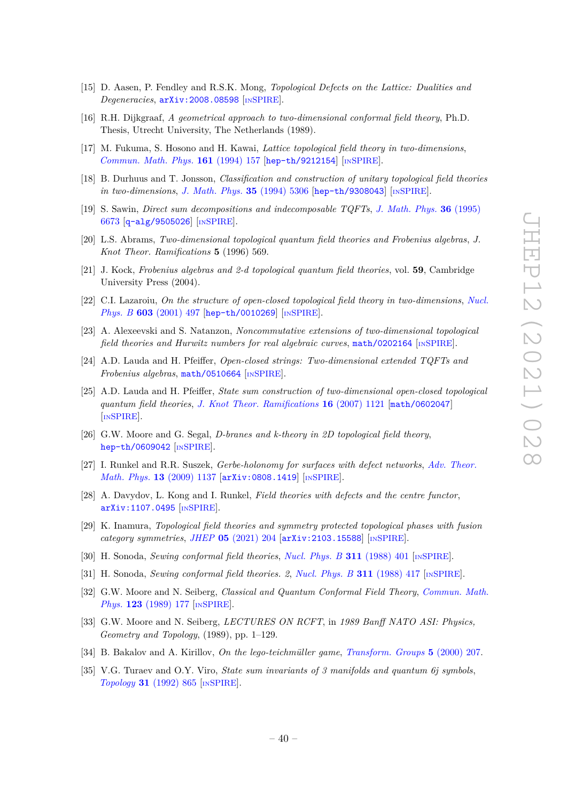- <span id="page-40-0"></span>[15] D. Aasen, P. Fendley and R.S.K. Mong, *Topological Defects on the Lattice: Dualities and Degeneracies*, [arXiv:2008.08598](https://arxiv.org/abs/2008.08598) [IN[SPIRE](https://inspirehep.net/search?p=find+EPRINT%2BarXiv%3A2008.08598)].
- <span id="page-40-1"></span>[16] R.H. Dijkgraaf, *A geometrical approach to two-dimensional conformal field theory*, Ph.D. Thesis, Utrecht University, The Netherlands (1989).
- <span id="page-40-10"></span>[17] M. Fukuma, S. Hosono and H. Kawai, *Lattice topological field theory in two-dimensions*, *[Commun. Math. Phys.](https://doi.org/10.1007/BF02099416)* **161** (1994) 157 [[hep-th/9212154](https://arxiv.org/abs/hep-th/9212154)] [IN[SPIRE](https://inspirehep.net/search?p=find+EPRINT%2Bhep-th%2F9212154)].
- <span id="page-40-9"></span>[18] B. Durhuus and T. Jonsson, *Classification and construction of unitary topological field theories in two-dimensions, [J. Math. Phys.](https://doi.org/10.1063/1.530752)* **35** (1994) 5306 [[hep-th/9308043](https://arxiv.org/abs/hep-th/9308043)] [IN[SPIRE](https://inspirehep.net/search?p=find+EPRINT%2Bhep-th%2F9308043)].
- <span id="page-40-7"></span>[19] S. Sawin, *Direct sum decompositions and indecomposable TQFTs*, *[J. Math. Phys.](https://doi.org/10.1063/1.531180)* **36** (1995) [6673](https://doi.org/10.1063/1.531180) [[q-alg/9505026](https://arxiv.org/abs/q-alg/9505026)] [IN[SPIRE](https://inspirehep.net/search?p=find+J%20%22J.Math.Phys.%2C36%2C6673%22)].
- <span id="page-40-8"></span>[20] L.S. Abrams, *Two-dimensional topological quantum field theories and Frobenius algebras*, *J. Knot Theor. Ramifications* **5** (1996) 569.
- [21] J. Kock, *Frobenius algebras and 2-d topological quantum field theories*, vol. **59**, Cambridge University Press (2004).
- [22] C.I. Lazaroiu, *On the structure of open-closed topological field theory in two-dimensions*, *[Nucl.](https://doi.org/10.1016/S0550-3213(01)00135-3) Phys. B* **603** [\(2001\) 497](https://doi.org/10.1016/S0550-3213(01)00135-3) [[hep-th/0010269](https://arxiv.org/abs/hep-th/0010269)] [IN[SPIRE](https://inspirehep.net/search?p=find+EPRINT%2Bhep-th%2F0010269)].
- [23] A. Alexeevski and S. Natanzon, *Noncommutative extensions of two-dimensional topological field theories and Hurwitz numbers for real algebraic curves*, [math/0202164](https://arxiv.org/abs/math/0202164) [IN[SPIRE](https://inspirehep.net/search?p=find+EPRINT%2Bmath%2F0202164)].
- [24] A.D. Lauda and H. Pfeiffer, *Open-closed strings: Two-dimensional extended TQFTs and Frobenius algebras*, [math/0510664](https://arxiv.org/abs/math/0510664) [IN[SPIRE](https://inspirehep.net/search?p=find+EPRINT%2Bmath%2F0510664)].
- <span id="page-40-11"></span>[25] A.D. Lauda and H. Pfeiffer, *State sum construction of two-dimensional open-closed topological quantum field theories*, *[J. Knot Theor. Ramifications](https://doi.org/10.1142/S0218216507005725)* **16** (2007) 1121 [[math/0602047](https://arxiv.org/abs/math/0602047)] [IN[SPIRE](https://inspirehep.net/search?p=find+EPRINT%2Bmath%2F0602047)].
- <span id="page-40-6"></span>[26] G.W. Moore and G. Segal, *D-branes and k-theory in 2D topological field theory*, [hep-th/0609042](https://arxiv.org/abs/hep-th/0609042) [IN[SPIRE](https://inspirehep.net/search?p=find+EPRINT%2Bhep-th%2F0609042)].
- [27] I. Runkel and R.R. Suszek, *Gerbe-holonomy for surfaces with defect networks*, *[Adv. Theor.](https://doi.org/10.4310/ATMP.2009.v13.n4.a5) [Math. Phys.](https://doi.org/10.4310/ATMP.2009.v13.n4.a5)* **13** (2009) 1137 [[arXiv:0808.1419](https://arxiv.org/abs/0808.1419)] [IN[SPIRE](https://inspirehep.net/search?p=find+EPRINT%2BarXiv%3A0808.1419)].
- [28] A. Davydov, L. Kong and I. Runkel, *Field theories with defects and the centre functor*, [arXiv:1107.0495](https://arxiv.org/abs/1107.0495) [IN[SPIRE](https://inspirehep.net/search?p=find+EPRINT%2BarXiv%3A1107.0495)].
- <span id="page-40-2"></span>[29] K. Inamura, *Topological field theories and symmetry protected topological phases with fusion category symmetries*, *JHEP* **05** [\(2021\) 204](https://doi.org/10.1007/JHEP05(2021)204) [[arXiv:2103.15588](https://arxiv.org/abs/2103.15588)] [IN[SPIRE](https://inspirehep.net/search?p=find+EPRINT%2BarXiv%3A2103.15588)].
- <span id="page-40-3"></span>[30] H. Sonoda, *Sewing conformal field theories*, *[Nucl. Phys. B](https://doi.org/10.1016/0550-3213(88)90066-1)* **311** (1988) 401 [IN[SPIRE](https://inspirehep.net/search?p=find+J%20%22Nucl.Phys.%2CB311%2C401%22)].
- [31] H. Sonoda, *Sewing conformal field theories. 2*, *[Nucl. Phys. B](https://doi.org/10.1016/0550-3213(88)90067-3)* **311** (1988) 417 [IN[SPIRE](https://inspirehep.net/search?p=find+%22Nucl.Phys.%2CB311%2C417%22)].
- [32] G.W. Moore and N. Seiberg, *Classical and Quantum Conformal Field Theory*, *[Commun. Math.](https://doi.org/10.1007/BF01238857) Phys.* **123** [\(1989\) 177](https://doi.org/10.1007/BF01238857) [IN[SPIRE](https://inspirehep.net/search?p=find+J%20%22Commun.Math.Phys.%2C123%2C177%22)].
- [33] G.W. Moore and N. Seiberg, *LECTURES ON RCFT*, in *1989 Banff NATO ASI: Physics, Geometry and Topology*, (1989), pp. 1–129.
- <span id="page-40-4"></span>[34] B. Bakalov and A. Kirillov, *On the lego-teichmüller game*, *[Transform. Groups](https://doi.org/10.1007/bf01679714)* **5** (2000) 207.
- <span id="page-40-5"></span>[35] V.G. Turaev and O.Y. Viro, *State sum invariants of 3 manifolds and quantum 6j symbols*, *Topology* **31** [\(1992\) 865](https://doi.org/10.1016/0040-9383(92)90015-A) [IN[SPIRE](https://inspirehep.net/search?p=find+J%20%22Topology%2C31%2C865%22)].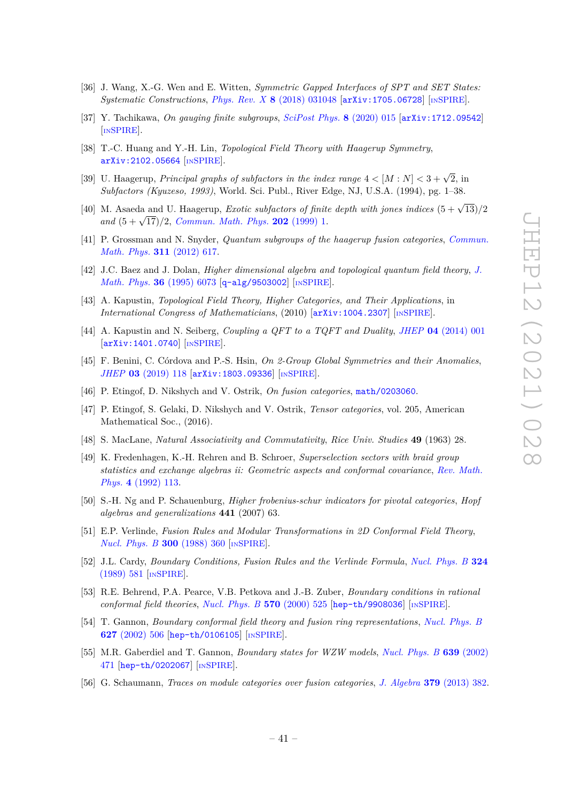- <span id="page-41-0"></span>[36] J. Wang, X.-G. Wen and E. Witten, *Symmetric Gapped Interfaces of SPT and SET States: Systematic Constructions*, *Phys. Rev. X* **8** [\(2018\) 031048](https://doi.org/10.1103/PhysRevX.8.031048) [[arXiv:1705.06728](https://arxiv.org/abs/1705.06728)] [IN[SPIRE](https://inspirehep.net/search?p=find+EPRINT%2BarXiv%3A1705.06728)].
- <span id="page-41-1"></span>[37] Y. Tachikawa, *On gauging finite subgroups*, *[SciPost Phys.](https://doi.org/10.21468/SciPostPhys.8.1.015)* **8** (2020) 015 [[arXiv:1712.09542](https://arxiv.org/abs/1712.09542)] [IN[SPIRE](https://inspirehep.net/search?p=find+EPRINT%2BarXiv%3A1712.09542)].
- <span id="page-41-2"></span>[38] T.-C. Huang and Y.-H. Lin, *Topological Field Theory with Haagerup Symmetry*, [arXiv:2102.05664](https://arxiv.org/abs/2102.05664) [IN[SPIRE](https://inspirehep.net/search?p=find+EPRINT%2BarXiv%3A2102.05664)].
- <span id="page-41-3"></span>[39] U. Haagerup, *Principal graphs of subfactors in the index range*  $4 < [M : N] < 3 + \sqrt{2}$ , in *Subfactors (Kyuzeso, 1993)*, World. Sci. Publ., River Edge, NJ, U.S.A. (1994), pg. 1–38.
- [40] M. Asaeda and U. Haagerup, *Exotic subfactors of finite depth with jones indices*  $(5 + \sqrt{13})/2$ *and* (5 + <sup>√</sup> 17)*/*2, *[Commun. Math. Phys.](https://doi.org/10.1007/s002200050574)* **202** (1999) 1.
- <span id="page-41-4"></span>[41] P. Grossman and N. Snyder, *Quantum subgroups of the haagerup fusion categories*, *[Commun.](https://doi.org/10.1007/s00220-012-1427-x) [Math. Phys.](https://doi.org/10.1007/s00220-012-1427-x)* **311** (2012) 617.
- <span id="page-41-5"></span>[42] J.C. Baez and J. Dolan, *Higher dimensional algebra and topological quantum field theory*, *[J.](https://doi.org/10.1063/1.531236) [Math. Phys.](https://doi.org/10.1063/1.531236)* **36** (1995) 6073 [[q-alg/9503002](https://arxiv.org/abs/q-alg/9503002)] [IN[SPIRE](https://inspirehep.net/search?p=find+J%20%22J.Math.Phys.%2C36%2C6073%22)].
- <span id="page-41-6"></span>[43] A. Kapustin, *Topological Field Theory, Higher Categories, and Their Applications*, in *International Congress of Mathematicians*, (2010) [[arXiv:1004.2307](https://arxiv.org/abs/1004.2307)] [IN[SPIRE](https://inspirehep.net/search?p=find+EPRINT%2BarXiv%3A1004.2307)].
- <span id="page-41-7"></span>[44] A. Kapustin and N. Seiberg, *Coupling a QFT to a TQFT and Duality*, *JHEP* **04** [\(2014\) 001](https://doi.org/10.1007/JHEP04(2014)001) [[arXiv:1401.0740](https://arxiv.org/abs/1401.0740)] [IN[SPIRE](https://inspirehep.net/search?p=find+EPRINT%2BarXiv%3A1401.0740)].
- <span id="page-41-8"></span>[45] F. Benini, C. Córdova and P.-S. Hsin, *On 2-Group Global Symmetries and their Anomalies*, *JHEP* **03** [\(2019\) 118](https://doi.org/10.1007/JHEP03(2019)118) [[arXiv:1803.09336](https://arxiv.org/abs/1803.09336)] [IN[SPIRE](https://inspirehep.net/search?p=find+EPRINT%2BarXiv%3A1803.09336)].
- <span id="page-41-9"></span>[46] P. Etingof, D. Nikshych and V. Ostrik, *On fusion categories*, [math/0203060](https://arxiv.org/abs/math/0203060).
- <span id="page-41-10"></span>[47] P. Etingof, S. Gelaki, D. Nikshych and V. Ostrik, *Tensor categories*, vol. 205, American Mathematical Soc., (2016).
- <span id="page-41-11"></span>[48] S. MacLane, *Natural Associativity and Commutativity*, *Rice Univ. Studies* **49** (1963) 28.
- <span id="page-41-12"></span>[49] K. Fredenhagen, K.-H. Rehren and B. Schroer, *Superselection sectors with braid group statistics and exchange algebras ii: Geometric aspects and conformal covariance*, *[Rev. Math.](https://doi.org/10.1142/s0129055x92000170) Phys.* **4** [\(1992\) 113.](https://doi.org/10.1142/s0129055x92000170)
- <span id="page-41-13"></span>[50] S.-H. Ng and P. Schauenburg, *Higher frobenius-schur indicators for pivotal categories*, *Hopf algebras and generalizations* **441** (2007) 63.
- <span id="page-41-14"></span>[51] E.P. Verlinde, *Fusion Rules and Modular Transformations in 2D Conformal Field Theory*, *[Nucl. Phys. B](https://doi.org/10.1016/0550-3213(88)90603-7)* **300** (1988) 360 [IN[SPIRE](https://inspirehep.net/search?p=find+J%20%22Nucl.Phys.%2CB300%2C360%22)].
- <span id="page-41-15"></span>[52] J.L. Cardy, *Boundary Conditions, Fusion Rules and the Verlinde Formula*, *[Nucl. Phys. B](https://doi.org/10.1016/0550-3213(89)90521-X)* **324** [\(1989\) 581](https://doi.org/10.1016/0550-3213(89)90521-X) [IN[SPIRE](https://inspirehep.net/search?p=find+J%20%22Nucl.Phys.%2CB324%2C581%22)].
- [53] R.E. Behrend, P.A. Pearce, V.B. Petkova and J.-B. Zuber, *Boundary conditions in rational conformal field theories*, *[Nucl. Phys. B](https://doi.org/10.1016/S0550-3213(99)00592-1)* **570** (2000) 525 [[hep-th/9908036](https://arxiv.org/abs/hep-th/9908036)] [IN[SPIRE](https://inspirehep.net/search?p=find+EPRINT%2Bhep-th%2F9908036)].
- [54] T. Gannon, *Boundary conformal field theory and fusion ring representations*, *[Nucl. Phys. B](https://doi.org/10.1016/S0550-3213(01)00632-0)* **627** [\(2002\) 506](https://doi.org/10.1016/S0550-3213(01)00632-0) [[hep-th/0106105](https://arxiv.org/abs/hep-th/0106105)] [IN[SPIRE](https://inspirehep.net/search?p=find+EPRINT%2Bhep-th%2F0106105)].
- <span id="page-41-16"></span>[55] M.R. Gaberdiel and T. Gannon, *Boundary states for WZW models*, *[Nucl. Phys. B](https://doi.org/10.1016/S0550-3213(02)00559-X)* **639** (2002) [471](https://doi.org/10.1016/S0550-3213(02)00559-X) [[hep-th/0202067](https://arxiv.org/abs/hep-th/0202067)] [IN[SPIRE](https://inspirehep.net/search?p=find+EPRINT%2Bhep-th%2F0202067)].
- <span id="page-41-17"></span>[56] G. Schaumann, *Traces on module categories over fusion categories*, *J. Algebra* **379** [\(2013\) 382.](https://doi.org/10.1016/j.jalgebra.2013.01.013)